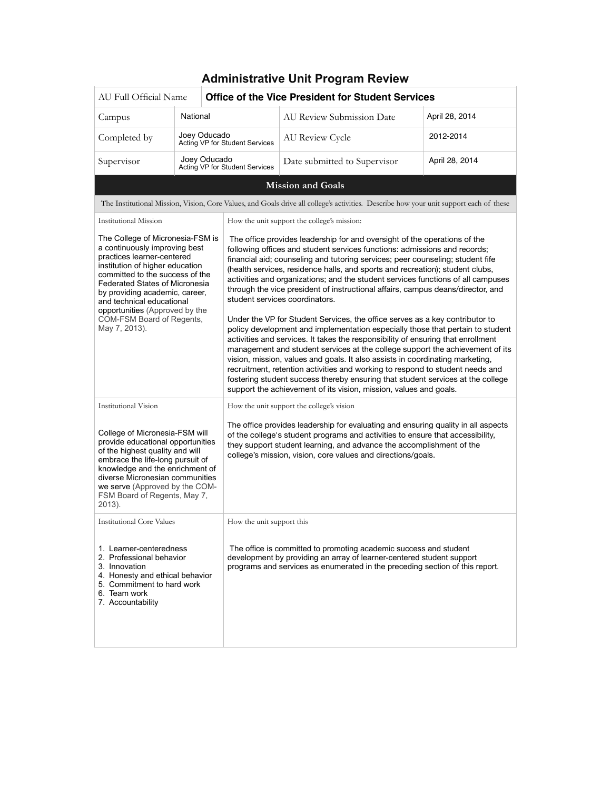| <b>Administrative Unit Program Review</b>                                                                                                                                                                                                                                                                                                                     |              |                                                                                                                                                                                                                                                                                                                                                                                                                                                                                                                                                                                                                                                                                                                                                                                                                                                                                                                                                                                                                                                                                                                                                                                                     |                                                                                                                                        |                |
|---------------------------------------------------------------------------------------------------------------------------------------------------------------------------------------------------------------------------------------------------------------------------------------------------------------------------------------------------------------|--------------|-----------------------------------------------------------------------------------------------------------------------------------------------------------------------------------------------------------------------------------------------------------------------------------------------------------------------------------------------------------------------------------------------------------------------------------------------------------------------------------------------------------------------------------------------------------------------------------------------------------------------------------------------------------------------------------------------------------------------------------------------------------------------------------------------------------------------------------------------------------------------------------------------------------------------------------------------------------------------------------------------------------------------------------------------------------------------------------------------------------------------------------------------------------------------------------------------------|----------------------------------------------------------------------------------------------------------------------------------------|----------------|
| AU Full Official Name                                                                                                                                                                                                                                                                                                                                         |              | <b>Office of the Vice President for Student Services</b>                                                                                                                                                                                                                                                                                                                                                                                                                                                                                                                                                                                                                                                                                                                                                                                                                                                                                                                                                                                                                                                                                                                                            |                                                                                                                                        |                |
| Campus                                                                                                                                                                                                                                                                                                                                                        | National     |                                                                                                                                                                                                                                                                                                                                                                                                                                                                                                                                                                                                                                                                                                                                                                                                                                                                                                                                                                                                                                                                                                                                                                                                     | AU Review Submission Date                                                                                                              | April 28, 2014 |
| Completed by                                                                                                                                                                                                                                                                                                                                                  | Joey Oducado | Acting VP for Student Services                                                                                                                                                                                                                                                                                                                                                                                                                                                                                                                                                                                                                                                                                                                                                                                                                                                                                                                                                                                                                                                                                                                                                                      | AU Review Cycle                                                                                                                        | 2012-2014      |
| Supervisor                                                                                                                                                                                                                                                                                                                                                    | Joey Oducado | Acting VP for Student Services                                                                                                                                                                                                                                                                                                                                                                                                                                                                                                                                                                                                                                                                                                                                                                                                                                                                                                                                                                                                                                                                                                                                                                      | Date submitted to Supervisor                                                                                                           | April 28, 2014 |
|                                                                                                                                                                                                                                                                                                                                                               |              |                                                                                                                                                                                                                                                                                                                                                                                                                                                                                                                                                                                                                                                                                                                                                                                                                                                                                                                                                                                                                                                                                                                                                                                                     | <b>Mission and Goals</b>                                                                                                               |                |
|                                                                                                                                                                                                                                                                                                                                                               |              |                                                                                                                                                                                                                                                                                                                                                                                                                                                                                                                                                                                                                                                                                                                                                                                                                                                                                                                                                                                                                                                                                                                                                                                                     | The Institutional Mission, Vision, Core Values, and Goals drive all college's activities. Describe how your unit support each of these |                |
| <b>Institutional Mission</b>                                                                                                                                                                                                                                                                                                                                  |              |                                                                                                                                                                                                                                                                                                                                                                                                                                                                                                                                                                                                                                                                                                                                                                                                                                                                                                                                                                                                                                                                                                                                                                                                     | How the unit support the college's mission:                                                                                            |                |
| The College of Micronesia-FSM is<br>a continuously improving best<br>practices learner-centered<br>institution of higher education<br>committed to the success of the<br><b>Federated States of Micronesia</b><br>by providing academic, career,<br>and technical educational<br>opportunities (Approved by the<br>COM-FSM Board of Regents,<br>May 7, 2013). |              | The office provides leadership for and oversight of the operations of the<br>following offices and student services functions: admissions and records;<br>financial aid; counseling and tutoring services; peer counseling; student fife<br>(health services, residence halls, and sports and recreation); student clubs,<br>activities and organizations; and the student services functions of all campuses<br>through the vice president of instructional affairs, campus deans/director, and<br>student services coordinators.<br>Under the VP for Student Services, the office serves as a key contributor to<br>policy development and implementation especially those that pertain to student<br>activities and services. It takes the responsibility of ensuring that enrollment<br>management and student services at the college support the achievement of its<br>vision, mission, values and goals. It also assists in coordinating marketing,<br>recruitment, retention activities and working to respond to student needs and<br>fostering student success thereby ensuring that student services at the college<br>support the achievement of its vision, mission, values and goals. |                                                                                                                                        |                |
| <b>Institutional Vision</b><br>College of Micronesia-FSM will<br>provide educational opportunities<br>of the highest quality and will<br>embrace the life-long pursuit of<br>knowledge and the enrichment of<br>diverse Micronesian communities<br>we serve (Approved by the COM-<br>FSM Board of Regents, May 7,<br>2013).                                   |              | How the unit support the college's vision<br>The office provides leadership for evaluating and ensuring quality in all aspects<br>of the college's student programs and activities to ensure that accessibility,<br>they support student learning, and advance the accomplishment of the<br>college's mission, vision, core values and directions/goals.                                                                                                                                                                                                                                                                                                                                                                                                                                                                                                                                                                                                                                                                                                                                                                                                                                            |                                                                                                                                        |                |
| <b>Institutional Core Values</b><br>How the unit support this<br>1. Learner-centeredness<br>2. Professional behavior<br>3. Innovation<br>4. Honesty and ethical behavior<br>5. Commitment to hard work<br>6. Team work<br>7. Accountability                                                                                                                   |              | The office is committed to promoting academic success and student<br>development by providing an array of learner-centered student support<br>programs and services as enumerated in the preceding section of this report.                                                                                                                                                                                                                                                                                                                                                                                                                                                                                                                                                                                                                                                                                                                                                                                                                                                                                                                                                                          |                                                                                                                                        |                |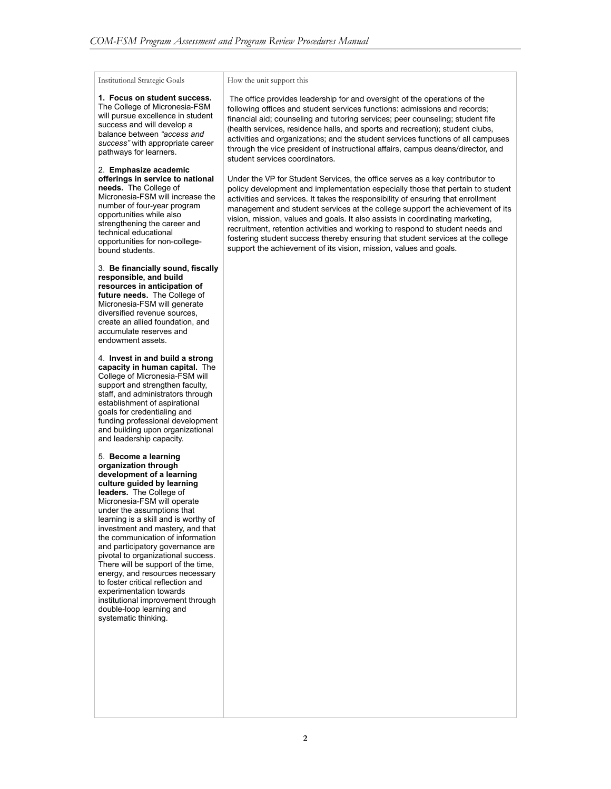Institutional Strategic Goals

**1. Focus on student success.**  The College of Micronesia-FSM will pursue excellence in student success and will develop a balance between *"access and success"* with appropriate career pathways for learners.

2. **Emphasize academic offerings in service to national needs.** The College of Micronesia-FSM will increase the number of four-year program opportunities while also strengthening the career and technical educational opportunities for non-collegebound students.

3. **Be financially sound, fiscally responsible, and build resources in anticipation of future needs.** The College of Micronesia-FSM will generate diversified revenue sources, create an allied foundation, and accumulate reserves and endowment assets.

4. **Invest in and build a strong capacity in human capital.** The College of Micronesia-FSM will support and strengthen faculty, staff, and administrators through establishment of aspirational goals for credentialing and funding professional development and building upon organizational and leadership capacity.

5. **Become a learning organization through development of a learning culture guided by learning leaders.** The College of Micronesia-FSM will operate under the assumptions that learning is a skill and is worthy of investment and mastery, and that the communication of information and participatory governance are pivotal to organizational success. There will be support of the time, energy, and resources necessary to foster critical reflection and experimentation towards institutional improvement through double-loop learning and systematic thinking.

#### How the unit support this

 The office provides leadership for and oversight of the operations of the following offices and student services functions: admissions and records; financial aid; counseling and tutoring services; peer counseling; student fife (health services, residence halls, and sports and recreation); student clubs, activities and organizations; and the student services functions of all campuses through the vice president of instructional affairs, campus deans/director, and student services coordinators.

Under the VP for Student Services, the office serves as a key contributor to policy development and implementation especially those that pertain to student activities and services. It takes the responsibility of ensuring that enrollment management and student services at the college support the achievement of its vision, mission, values and goals. It also assists in coordinating marketing, recruitment, retention activities and working to respond to student needs and fostering student success thereby ensuring that student services at the college support the achievement of its vision, mission, values and goals.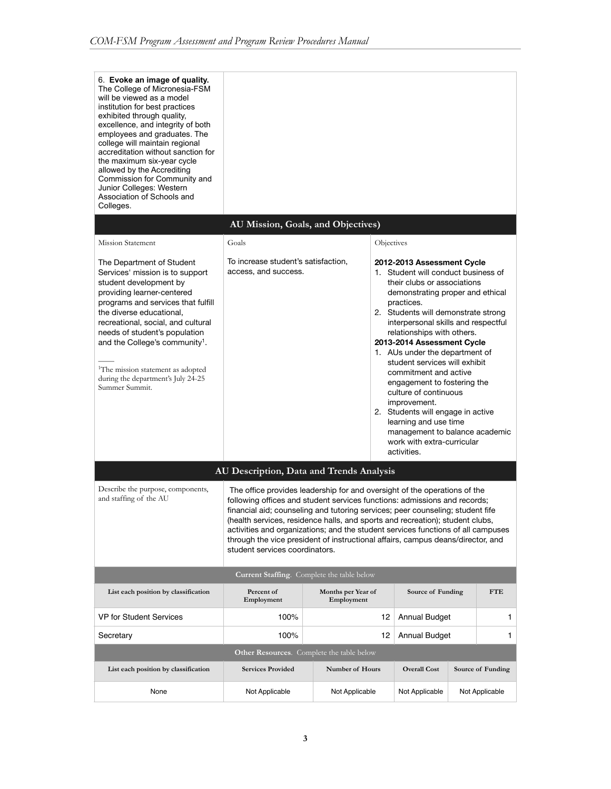| 6. Evoke an image of quality.<br>The College of Micronesia-FSM<br>will be viewed as a model<br>institution for best practices<br>exhibited through quality,<br>excellence, and integrity of both<br>employees and graduates. The<br>college will maintain regional<br>accreditation without sanction for<br>the maximum six-year cycle<br>allowed by the Accrediting<br>Commission for Community and<br>Junior Colleges: Western<br>Association of Schools and<br>Colleges. |                                                                                                                                                                                                                                                                                                                                                                                                                                                                                                                                    |                                  |                                                                                                                                                                                                                                                                                                                                                                                                                                                                                                                                                                                                               |  |                   |
|-----------------------------------------------------------------------------------------------------------------------------------------------------------------------------------------------------------------------------------------------------------------------------------------------------------------------------------------------------------------------------------------------------------------------------------------------------------------------------|------------------------------------------------------------------------------------------------------------------------------------------------------------------------------------------------------------------------------------------------------------------------------------------------------------------------------------------------------------------------------------------------------------------------------------------------------------------------------------------------------------------------------------|----------------------------------|---------------------------------------------------------------------------------------------------------------------------------------------------------------------------------------------------------------------------------------------------------------------------------------------------------------------------------------------------------------------------------------------------------------------------------------------------------------------------------------------------------------------------------------------------------------------------------------------------------------|--|-------------------|
|                                                                                                                                                                                                                                                                                                                                                                                                                                                                             | AU Mission, Goals, and Objectives)                                                                                                                                                                                                                                                                                                                                                                                                                                                                                                 |                                  |                                                                                                                                                                                                                                                                                                                                                                                                                                                                                                                                                                                                               |  |                   |
| <b>Mission Statement</b>                                                                                                                                                                                                                                                                                                                                                                                                                                                    | Goals                                                                                                                                                                                                                                                                                                                                                                                                                                                                                                                              | Objectives                       |                                                                                                                                                                                                                                                                                                                                                                                                                                                                                                                                                                                                               |  |                   |
| The Department of Student<br>Services' mission is to support<br>student development by<br>providing learner-centered<br>programs and services that fulfill<br>the diverse educational,<br>recreational, social, and cultural<br>needs of student's population<br>and the College's community <sup>1</sup> .<br><sup>1</sup> The mission statement as adopted<br>during the department's July 24-25<br>Summer Summit.                                                        | To increase student's satisfaction,<br>access, and success.                                                                                                                                                                                                                                                                                                                                                                                                                                                                        |                                  | 2012-2013 Assessment Cycle<br>1. Student will conduct business of<br>their clubs or associations<br>demonstrating proper and ethical<br>practices.<br>2. Students will demonstrate strong<br>interpersonal skills and respectful<br>relationships with others.<br>2013-2014 Assessment Cycle<br>1. AUs under the department of<br>student services will exhibit<br>commitment and active<br>engagement to fostering the<br>culture of continuous<br>improvement.<br>2. Students will engage in active<br>learning and use time<br>management to balance academic<br>work with extra-curricular<br>activities. |  |                   |
|                                                                                                                                                                                                                                                                                                                                                                                                                                                                             | AU Description, Data and Trends Analysis                                                                                                                                                                                                                                                                                                                                                                                                                                                                                           |                                  |                                                                                                                                                                                                                                                                                                                                                                                                                                                                                                                                                                                                               |  |                   |
| Describe the purpose, components,<br>and staffing of the AU                                                                                                                                                                                                                                                                                                                                                                                                                 | The office provides leadership for and oversight of the operations of the<br>following offices and student services functions: admissions and records;<br>financial aid; counseling and tutoring services; peer counseling; student fife<br>(health services, residence halls, and sports and recreation); student clubs,<br>activities and organizations; and the student services functions of all campuses<br>through the vice president of instructional affairs, campus deans/director, and<br>student services coordinators. |                                  |                                                                                                                                                                                                                                                                                                                                                                                                                                                                                                                                                                                                               |  |                   |
|                                                                                                                                                                                                                                                                                                                                                                                                                                                                             | Current Staffing. Complete the table below                                                                                                                                                                                                                                                                                                                                                                                                                                                                                         |                                  |                                                                                                                                                                                                                                                                                                                                                                                                                                                                                                                                                                                                               |  |                   |
| List each position by classification                                                                                                                                                                                                                                                                                                                                                                                                                                        | Percent of<br>Employment                                                                                                                                                                                                                                                                                                                                                                                                                                                                                                           | Months per Year of<br>Employment | Source of Funding                                                                                                                                                                                                                                                                                                                                                                                                                                                                                                                                                                                             |  | FTE               |
| <b>VP for Student Services</b>                                                                                                                                                                                                                                                                                                                                                                                                                                              | 100%                                                                                                                                                                                                                                                                                                                                                                                                                                                                                                                               | 12                               | <b>Annual Budget</b>                                                                                                                                                                                                                                                                                                                                                                                                                                                                                                                                                                                          |  | 1                 |
| Secretary                                                                                                                                                                                                                                                                                                                                                                                                                                                                   | 100%                                                                                                                                                                                                                                                                                                                                                                                                                                                                                                                               | 12                               | <b>Annual Budget</b>                                                                                                                                                                                                                                                                                                                                                                                                                                                                                                                                                                                          |  | 1                 |
|                                                                                                                                                                                                                                                                                                                                                                                                                                                                             | <b>Other Resources.</b> Complete the table below                                                                                                                                                                                                                                                                                                                                                                                                                                                                                   |                                  |                                                                                                                                                                                                                                                                                                                                                                                                                                                                                                                                                                                                               |  |                   |
| List each position by classification                                                                                                                                                                                                                                                                                                                                                                                                                                        | <b>Services Provided</b>                                                                                                                                                                                                                                                                                                                                                                                                                                                                                                           | Number of Hours                  | <b>Overall Cost</b>                                                                                                                                                                                                                                                                                                                                                                                                                                                                                                                                                                                           |  | Source of Funding |
| None                                                                                                                                                                                                                                                                                                                                                                                                                                                                        | Not Applicable                                                                                                                                                                                                                                                                                                                                                                                                                                                                                                                     | Not Applicable                   | Not Applicable                                                                                                                                                                                                                                                                                                                                                                                                                                                                                                                                                                                                |  | Not Applicable    |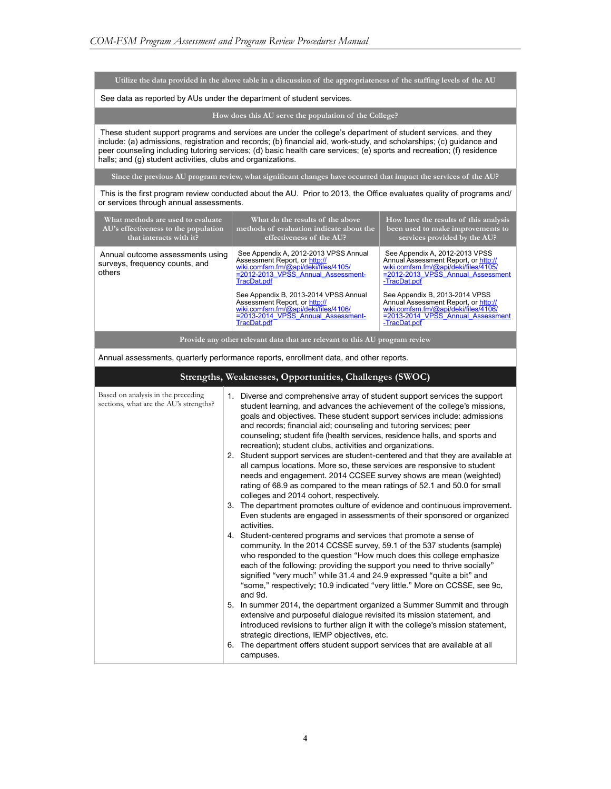**Utilize the data provided in the above table in a discussion of the appropriateness of the staffing levels of the AU**

See data as reported by AUs under the department of student services.

**How does this AU serve the population of the College?**

These student support programs and services are under the college's department of student services, and they include: (a) admissions, registration and records; (b) financial aid, work-study, and scholarships; (c) guidance and peer counseling including tutoring services; (d) basic health care services; (e) sports and recreation; (f) residence halls; and (g) student activities, clubs and organizations.

**Since the previous AU program review, what significant changes have occurred that impact the services of the AU?**

 This is the first program review conducted about the AU. Prior to 2013, the Office evaluates quality of programs and/ or services through annual assessments.

| What methods are used to evaluate<br>AU's effectiveness to the population<br>that interacts with it? | What do the results of the above<br>methods of evaluation indicate about the<br>effectiveness of the AU?                                                                 | How have the results of this analysis<br>been used to make improvements to<br>services provided by the AU?                                                               |  |  |
|------------------------------------------------------------------------------------------------------|--------------------------------------------------------------------------------------------------------------------------------------------------------------------------|--------------------------------------------------------------------------------------------------------------------------------------------------------------------------|--|--|
| Annual outcome assessments using<br>surveys, frequency counts, and<br>others                         | See Appendix A, 2012-2013 VPSS Annual<br>Assessment Report, or http://<br>wiki.comfsm.fm/@api/deki/files/4105/<br>$= 2012 - 2013$ VPSS Annual Assessment-<br>TracDat.pdf | See Appendix A, 2012-2013 VPSS<br>Annual Assessment Report, or http://<br>wiki.comfsm.fm/@api/deki/files/4105/<br>$= 2012 - 2013$ VPSS Annual Assessment<br>-TracDat.pdf |  |  |
|                                                                                                      | See Appendix B, 2013-2014 VPSS Annual<br>Assessment Report, or http://<br>wiki.comfsm.fm/@api/deki/files/4106/<br>$= 2013 - 2014$ VPSS Annual Assessment-<br>TracDat.pdf | See Appendix B, 2013-2014 VPSS<br>Annual Assessment Report, or http://<br>wiki.comfsm.fm/@api/deki/files/4106/<br>$= 2013 - 2014$ VPSS Annual Assessment<br>-TracDat.pdf |  |  |
| Provide any other relevant data that are relevant to this AU program review                          |                                                                                                                                                                          |                                                                                                                                                                          |  |  |

Annual assessments, quarterly performance reports, enrollment data, and other reports.

| Strengths, Weaknesses, Opportunities, Challenges (SWOC) |  |  |  |
|---------------------------------------------------------|--|--|--|
|                                                         |  |  |  |

| Based on analysis in the preceding<br>sections, what are the AU's strengths? | 1. Diverse and comprehensive array of student support services the support<br>student learning, and advances the achievement of the college's missions,<br>goals and objectives. These student support services include: admissions<br>and records; financial aid; counseling and tutoring services; peer<br>counseling; student fife (health services, residence halls, and sports and<br>recreation); student clubs, activities and organizations.<br>2. Student support services are student-centered and that they are available at<br>all campus locations. More so, these services are responsive to student<br>needs and engagement. 2014 CCSEE survey shows are mean (weighted)<br>rating of 68.9 as compared to the mean ratings of 52.1 and 50.0 for small<br>colleges and 2014 cohort, respectively.<br>3. The department promotes culture of evidence and continuous improvement.<br>Even students are engaged in assessments of their sponsored or organized<br>activities.<br>4. Student-centered programs and services that promote a sense of<br>community. In the 2014 CCSSE survey, 59.1 of the 537 students (sample)<br>who responded to the question "How much does this college emphasize"<br>each of the following: providing the support you need to thrive socially"<br>signified "very much" while 31.4 and 24.9 expressed "quite a bit" and<br>"some," respectively; 10.9 indicated "very little." More on CCSSE, see 9c,<br>and 9d.<br>5. In summer 2014, the department organized a Summer Summit and through<br>extensive and purposeful dialogue revisited its mission statement, and<br>introduced revisions to further align it with the college's mission statement,<br>strategic directions, IEMP objectives, etc. |
|------------------------------------------------------------------------------|------------------------------------------------------------------------------------------------------------------------------------------------------------------------------------------------------------------------------------------------------------------------------------------------------------------------------------------------------------------------------------------------------------------------------------------------------------------------------------------------------------------------------------------------------------------------------------------------------------------------------------------------------------------------------------------------------------------------------------------------------------------------------------------------------------------------------------------------------------------------------------------------------------------------------------------------------------------------------------------------------------------------------------------------------------------------------------------------------------------------------------------------------------------------------------------------------------------------------------------------------------------------------------------------------------------------------------------------------------------------------------------------------------------------------------------------------------------------------------------------------------------------------------------------------------------------------------------------------------------------------------------------------------------------------------------------------------------------------------------------------|
|                                                                              | The department offers student support services that are available at all<br>6.<br>campuses.                                                                                                                                                                                                                                                                                                                                                                                                                                                                                                                                                                                                                                                                                                                                                                                                                                                                                                                                                                                                                                                                                                                                                                                                                                                                                                                                                                                                                                                                                                                                                                                                                                                          |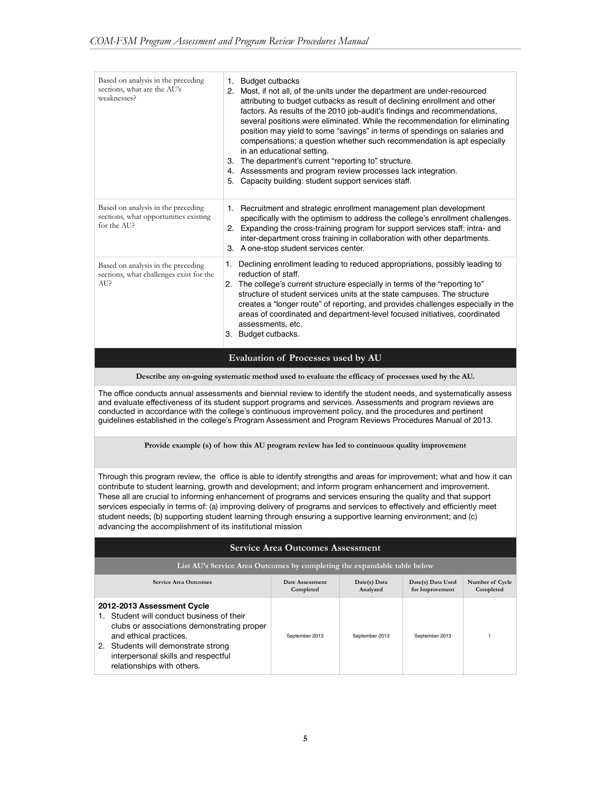| Based on analysis in the preceding<br>sections, what are the AU's<br>weaknesses?           | <b>Budget cutbacks</b><br>1.<br>Most, if not all, of the units under the department are under-resourced<br>2.<br>attributing to budget cutbacks as result of declining enrollment and other<br>factors. As results of the 2010 job-audit's findings and recommendations,<br>several positions were eliminated. While the recommendation for eliminating<br>position may yield to some "savings" in terms of spendings on salaries and<br>compensations; a question whether such recommendation is apt especially<br>in an educational setting.<br>The department's current "reporting to" structure.<br>З.<br>Assessments and program review processes lack integration.<br>4.<br>Capacity building: student support services staff.<br>5. |
|--------------------------------------------------------------------------------------------|--------------------------------------------------------------------------------------------------------------------------------------------------------------------------------------------------------------------------------------------------------------------------------------------------------------------------------------------------------------------------------------------------------------------------------------------------------------------------------------------------------------------------------------------------------------------------------------------------------------------------------------------------------------------------------------------------------------------------------------------|
| Based on analysis in the preceding<br>sections, what opportunities existing<br>for the AUP | 1. Recruitment and strategic enrollment management plan development<br>specifically with the optimism to address the college's enrollment challenges.<br>2. Expanding the cross-training program for support services staff: intra- and<br>inter-department cross training in collaboration with other departments.<br>3. A one-stop student services center.                                                                                                                                                                                                                                                                                                                                                                              |
| Based on analysis in the preceding<br>sections, what challenges exist for the<br>AU?       | Declining enrollment leading to reduced appropriations, possibly leading to<br>1.<br>reduction of staff.<br>The college's current structure especially in terms of the "reporting to"<br>2 <sup>1</sup><br>structure of student services units at the state campuses. The structure<br>creates a "longer route" of reporting, and provides challenges especially in the<br>areas of coordinated and department-level focused initiatives, coordinated<br>assessments, etc.<br>Budget cutbacks.<br>3.                                                                                                                                                                                                                                       |

#### **Evaluation of Processes used by AU**

**Describe any on-going systematic method used to evaluate the efficacy of processes used by the AU.**

The office conducts annual assessments and biennial review to identify the student needs, and systematically assess and evaluate effectiveness of its student support programs and services. Assessments and program reviews are conducted in accordance with the college's continuous improvement policy, and the procedures and pertinent guidelines established in the college's Program Assessment and Program Reviews Procedures Manual of 2013.

**Provide example (s) of how this AU program review has led to continuous quality improvement**

Through this program review, the office is able to identify strengths and areas for improvement; what and how it can contribute to student learning, growth and development; and inform program enhancement and improvement. These all are crucial to informing enhancement of programs and services ensuring the quality and that support services especially in terms of: (a) improving delivery of programs and services to effectively and efficiently meet student needs; (b) supporting student learning through ensuring a supportive learning environment; and (c) advancing the accomplishment of its institutional mission

#### **Service Area Outcomes Assessment**

| List AU's Service Area Outcomes by completing the expandable table below                                                                                                                                                                                 |                              |                          |                                      |                              |
|----------------------------------------------------------------------------------------------------------------------------------------------------------------------------------------------------------------------------------------------------------|------------------------------|--------------------------|--------------------------------------|------------------------------|
| <b>Service Area Outcomes</b>                                                                                                                                                                                                                             | Date Assessment<br>Completed | Date(s) Data<br>Analyzed | Date(s) Data Used<br>for Improvement | Number of Cycle<br>Completed |
| 2012-2013 Assessment Cycle<br>Student will conduct business of their<br>clubs or associations demonstrating proper<br>and ethical practices.<br>2. Students will demonstrate strong<br>interpersonal skills and respectful<br>relationships with others. | September 2013               | September 2013           | September 2013                       |                              |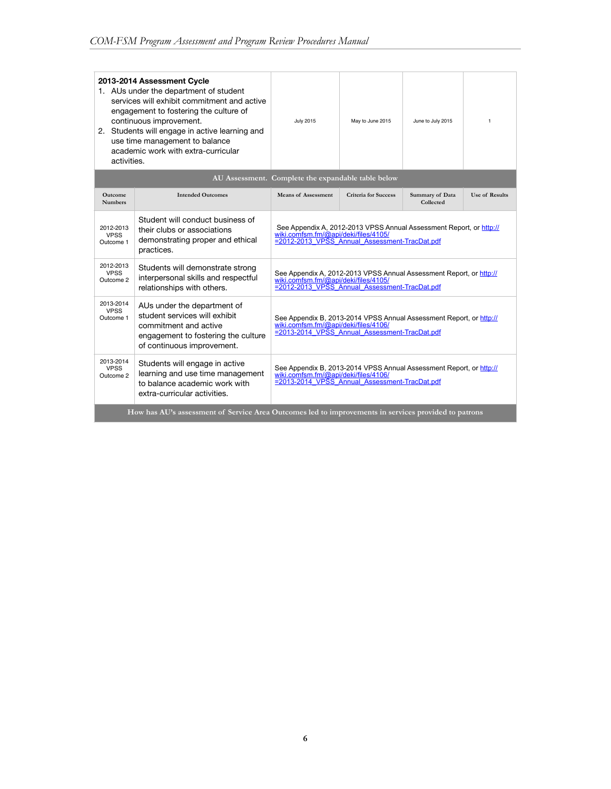| 2013-2014 Assessment Cycle<br>1. AUs under the department of student<br>services will exhibit commitment and active<br>engagement to fostering the culture of<br>continuous improvement.<br>2. Students will engage in active learning and<br>use time management to balance<br>academic work with extra-curricular<br>activities. |                                                                                                                   | <b>July 2015</b>                                                                                                                                             | May to June 2015     | June to July 2015            | $\mathbf{1}$          |
|------------------------------------------------------------------------------------------------------------------------------------------------------------------------------------------------------------------------------------------------------------------------------------------------------------------------------------|-------------------------------------------------------------------------------------------------------------------|--------------------------------------------------------------------------------------------------------------------------------------------------------------|----------------------|------------------------------|-----------------------|
|                                                                                                                                                                                                                                                                                                                                    |                                                                                                                   | AU Assessment. Complete the expandable table below                                                                                                           |                      |                              |                       |
| <b>Outcome</b><br><b>Numbers</b>                                                                                                                                                                                                                                                                                                   | <b>Intended Outcomes</b>                                                                                          | Means of Assessment                                                                                                                                          | Criteria for Success | Summary of Data<br>Collected | <b>Use of Results</b> |
| 2012-2013<br><b>VPSS</b><br>Outcome 1                                                                                                                                                                                                                                                                                              | Student will conduct business of<br>their clubs or associations<br>demonstrating proper and ethical<br>practices. | See Appendix A, 2012-2013 VPSS Annual Assessment Report, or http://<br>wiki.comfsm.fm/@api/deki/files/4105/<br>=2012-2013 VPSS Annual Assessment-TracDat.pdf |                      |                              |                       |
| 2012-2013<br><b>VPSS</b><br>Outcome 2                                                                                                                                                                                                                                                                                              | Students will demonstrate strong<br>interpersonal skills and respectful<br>relationships with others.             | See Appendix A, 2012-2013 VPSS Annual Assessment Report, or http://<br>wiki.comfsm.fm/@api/deki/files/4105/<br>=2012-2013_VPSS_Annual_Assessment-TracDat.pdf |                      |                              |                       |
| 2013-2014<br>AUs under the department of<br><b>VPSS</b><br>student services will exhibit<br>Outcome 1<br>commitment and active<br>engagement to fostering the culture<br>of continuous improvement.                                                                                                                                |                                                                                                                   | See Appendix B, 2013-2014 VPSS Annual Assessment Report, or http://<br>wiki.comfsm.fm/@api/deki/files/4106/<br>=2013-2014 VPSS Annual Assessment-TracDat.pdf |                      |                              |                       |
| 2013-2014<br>Students will engage in active<br><b>VPSS</b><br>learning and use time management<br>Outcome 2<br>to balance academic work with<br>extra-curricular activities.                                                                                                                                                       |                                                                                                                   | See Appendix B, 2013-2014 VPSS Annual Assessment Report, or http://<br>wiki.comfsm.fm/@api/deki/files/4106/<br>=2013-2014_VPSS_Annual_Assessment-TracDat.pdf |                      |                              |                       |
|                                                                                                                                                                                                                                                                                                                                    | How has AU's assessment of Service Area Outcomes led to improvements in services provided to patrons              |                                                                                                                                                              |                      |                              |                       |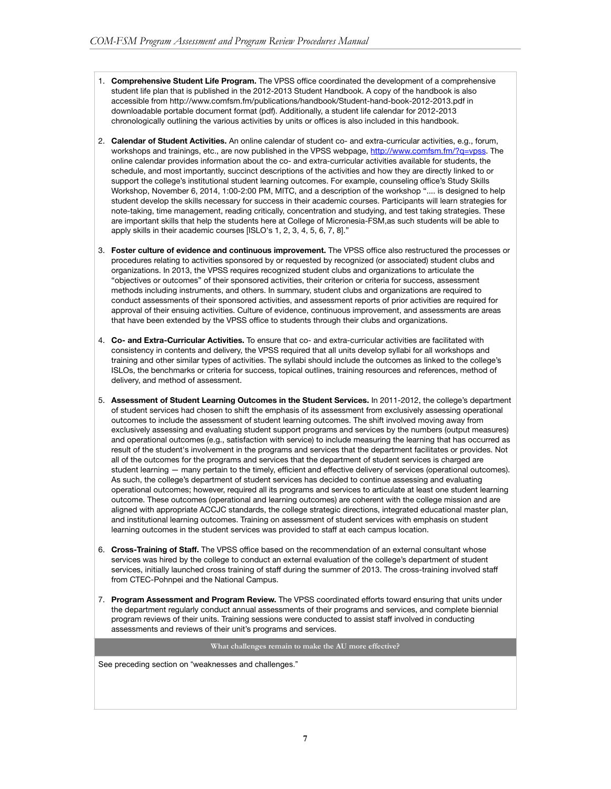- 1. **Comprehensive Student Life Program.** The VPSS office coordinated the development of a comprehensive student life plan that is published in the 2012-2013 Student Handbook. A copy of the handbook is also accessible from http://www.comfsm.fm/publications/handbook/Student-hand-book-2012-2013.pdf in downloadable portable document format (pdf). Additionally, a student life calendar for 2012-2013 chronologically outlining the various activities by units or offices is also included in this handbook.
- 2. **Calendar of Student Activities.** An online calendar of student co- and extra-curricular activities, e.g., forum, workshops and trainings, etc., are now published in the VPSS webpage, <http://www.comfsm.fm/?q=vpss>. The online calendar provides information about the co- and extra-curricular activities available for students, the schedule, and most importantly, succinct descriptions of the activities and how they are directly linked to or support the college's institutional student learning outcomes. For example, counseling office's Study Skills Workshop, November 6, 2014, 1:00-2:00 PM, MITC, and a description of the workshop ".... is designed to help student develop the skills necessary for success in their academic courses. Participants will learn strategies for note-taking, time management, reading critically, concentration and studying, and test taking strategies. These are important skills that help the students here at College of Micronesia-FSM,as such students will be able to apply skills in their academic courses [ISLO's 1, 2, 3, 4, 5, 6, 7, 8]."
- 3. **Foster culture of evidence and continuous improvement.** The VPSS office also restructured the processes or procedures relating to activities sponsored by or requested by recognized (or associated) student clubs and organizations. In 2013, the VPSS requires recognized student clubs and organizations to articulate the "objectives or outcomes" of their sponsored activities, their criterion or criteria for success, assessment methods including instruments, and others. In summary, student clubs and organizations are required to conduct assessments of their sponsored activities, and assessment reports of prior activities are required for approval of their ensuing activities. Culture of evidence, continuous improvement, and assessments are areas that have been extended by the VPSS office to students through their clubs and organizations.
- 4. **Co- and Extra-Curricular Activities.** To ensure that co- and extra-curricular activities are facilitated with consistency in contents and delivery, the VPSS required that all units develop syllabi for all workshops and training and other similar types of activities. The syllabi should include the outcomes as linked to the college's ISLOs, the benchmarks or criteria for success, topical outlines, training resources and references, method of delivery, and method of assessment.
- 5. **Assessment of Student Learning Outcomes in the Student Services.** In 2011-2012, the college's department of student services had chosen to shift the emphasis of its assessment from exclusively assessing operational outcomes to include the assessment of student learning outcomes. The shift involved moving away from exclusively assessing and evaluating student support programs and services by the numbers (output measures) and operational outcomes (e.g., satisfaction with service) to include measuring the learning that has occurred as result of the student's involvement in the programs and services that the department facilitates or provides. Not all of the outcomes for the programs and services that the department of student services is charged are student learning — many pertain to the timely, efficient and effective delivery of services (operational outcomes). As such, the college's department of student services has decided to continue assessing and evaluating operational outcomes; however, required all its programs and services to articulate at least one student learning outcome. These outcomes (operational and learning outcomes) are coherent with the college mission and are aligned with appropriate ACCJC standards, the college strategic directions, integrated educational master plan, and institutional learning outcomes. Training on assessment of student services with emphasis on student learning outcomes in the student services was provided to staff at each campus location.
- 6. **Cross-Training of Staff.** The VPSS office based on the recommendation of an external consultant whose services was hired by the college to conduct an external evaluation of the college's department of student services, initially launched cross training of staff during the summer of 2013. The cross-training involved staff from CTEC-Pohnpei and the National Campus.
- 7. **Program Assessment and Program Review.** The VPSS coordinated efforts toward ensuring that units under the department regularly conduct annual assessments of their programs and services, and complete biennial program reviews of their units. Training sessions were conducted to assist staff involved in conducting assessments and reviews of their unit's programs and services.

**What challenges remain to make the AU more effective?**

See preceding section on "weaknesses and challenges."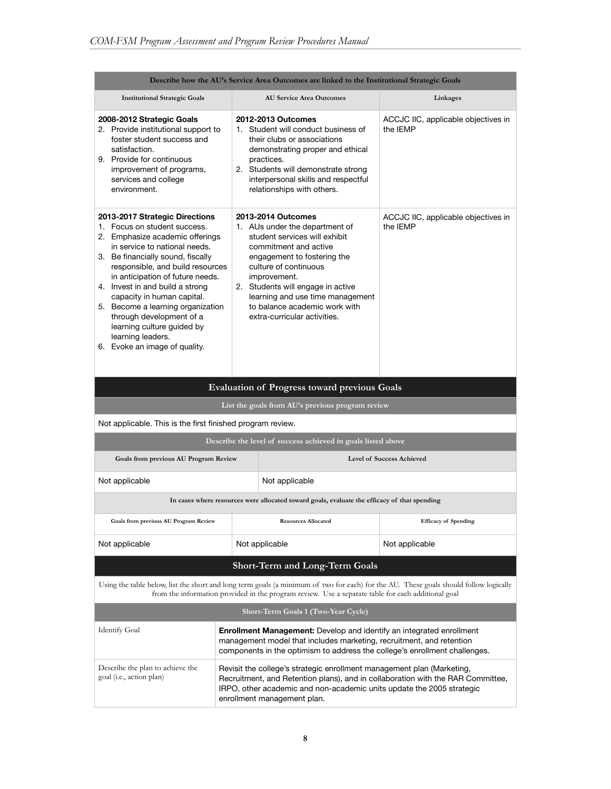| Describe how the AU's Service Area Outcomes are linked to the Institutional Strategic Goals                                                                                                                                                                                                                                                                                                                                                                                                                 |                                                                                                                                                                                                                                                                   |                                                                                                                                                                                                                                                                                                                                                   |                                                 |  |  |
|-------------------------------------------------------------------------------------------------------------------------------------------------------------------------------------------------------------------------------------------------------------------------------------------------------------------------------------------------------------------------------------------------------------------------------------------------------------------------------------------------------------|-------------------------------------------------------------------------------------------------------------------------------------------------------------------------------------------------------------------------------------------------------------------|---------------------------------------------------------------------------------------------------------------------------------------------------------------------------------------------------------------------------------------------------------------------------------------------------------------------------------------------------|-------------------------------------------------|--|--|
| <b>Institutional Strategic Goals</b>                                                                                                                                                                                                                                                                                                                                                                                                                                                                        |                                                                                                                                                                                                                                                                   | <b>AU Service Area Outcomes</b>                                                                                                                                                                                                                                                                                                                   | Linkages                                        |  |  |
| 2008-2012 Strategic Goals<br>2. Provide institutional support to<br>foster student success and<br>satisfaction.<br>9. Provide for continuous<br>improvement of programs,<br>services and college<br>environment.                                                                                                                                                                                                                                                                                            |                                                                                                                                                                                                                                                                   | 2012-2013 Outcomes<br>1. Student will conduct business of<br>their clubs or associations<br>demonstrating proper and ethical<br>practices.<br>2. Students will demonstrate strong<br>interpersonal skills and respectful<br>relationships with others.                                                                                            | ACCJC IIC, applicable objectives in<br>the IEMP |  |  |
| 2013-2017 Strategic Directions<br>2013-2014 Outcomes<br>1. Focus on student success.<br>2. Emphasize academic offerings<br>in service to national needs.<br>3. Be financially sound, fiscally<br>responsible, and build resources<br>in anticipation of future needs.<br>improvement.<br>4. Invest in and build a strong<br>capacity in human capital.<br>5. Become a learning organization<br>through development of a<br>learning culture guided by<br>learning leaders.<br>6. Evoke an image of quality. |                                                                                                                                                                                                                                                                   | 1. AUs under the department of<br>student services will exhibit<br>commitment and active<br>engagement to fostering the<br>culture of continuous<br>2. Students will engage in active<br>learning and use time management<br>to balance academic work with<br>extra-curricular activities.<br><b>Evaluation of Progress toward previous Goals</b> | ACCJC IIC, applicable objectives in<br>the IEMP |  |  |
|                                                                                                                                                                                                                                                                                                                                                                                                                                                                                                             |                                                                                                                                                                                                                                                                   | List the goals from AU's previous program review                                                                                                                                                                                                                                                                                                  |                                                 |  |  |
| Not applicable. This is the first finished program review.                                                                                                                                                                                                                                                                                                                                                                                                                                                  |                                                                                                                                                                                                                                                                   |                                                                                                                                                                                                                                                                                                                                                   |                                                 |  |  |
|                                                                                                                                                                                                                                                                                                                                                                                                                                                                                                             |                                                                                                                                                                                                                                                                   | Describe the level of success achieved in goals listed above                                                                                                                                                                                                                                                                                      |                                                 |  |  |
| Goals from previous AU Program Review                                                                                                                                                                                                                                                                                                                                                                                                                                                                       |                                                                                                                                                                                                                                                                   |                                                                                                                                                                                                                                                                                                                                                   | <b>Level of Success Achieved</b>                |  |  |
| Not applicable                                                                                                                                                                                                                                                                                                                                                                                                                                                                                              |                                                                                                                                                                                                                                                                   | Not applicable                                                                                                                                                                                                                                                                                                                                    |                                                 |  |  |
|                                                                                                                                                                                                                                                                                                                                                                                                                                                                                                             |                                                                                                                                                                                                                                                                   | In cases where resources were allocated toward goals, evaluate the efficacy of that spending                                                                                                                                                                                                                                                      |                                                 |  |  |
| Goals from previous AU Program Review                                                                                                                                                                                                                                                                                                                                                                                                                                                                       |                                                                                                                                                                                                                                                                   | <b>Resources Allocated</b>                                                                                                                                                                                                                                                                                                                        | <b>Efficacy of Spending</b>                     |  |  |
| Not applicable                                                                                                                                                                                                                                                                                                                                                                                                                                                                                              |                                                                                                                                                                                                                                                                   | Not applicable                                                                                                                                                                                                                                                                                                                                    | Not applicable                                  |  |  |
|                                                                                                                                                                                                                                                                                                                                                                                                                                                                                                             |                                                                                                                                                                                                                                                                   | Short-Term and Long-Term Goals                                                                                                                                                                                                                                                                                                                    |                                                 |  |  |
| Using the table below, list the short and long term goals (a minimum of two for each) for the AU. These goals should follow logically<br>from the information provided in the program review. Use a separate table for each additional goal                                                                                                                                                                                                                                                                 |                                                                                                                                                                                                                                                                   |                                                                                                                                                                                                                                                                                                                                                   |                                                 |  |  |
| Short-Term Goals 1 (Two-Year Cycle)                                                                                                                                                                                                                                                                                                                                                                                                                                                                         |                                                                                                                                                                                                                                                                   |                                                                                                                                                                                                                                                                                                                                                   |                                                 |  |  |
| <b>Identify Goal</b><br><b>Enrollment Management:</b> Develop and identify an integrated enrollment<br>management model that includes marketing, recruitment, and retention<br>components in the optimism to address the college's enrollment challenges.                                                                                                                                                                                                                                                   |                                                                                                                                                                                                                                                                   |                                                                                                                                                                                                                                                                                                                                                   |                                                 |  |  |
| Describe the plan to achieve the<br>goal (i.e., action plan)                                                                                                                                                                                                                                                                                                                                                                                                                                                | Revisit the college's strategic enrollment management plan (Marketing,<br>Recruitment, and Retention plans), and in collaboration with the RAR Committee,<br>IRPO, other academic and non-academic units update the 2005 strategic<br>enrollment management plan. |                                                                                                                                                                                                                                                                                                                                                   |                                                 |  |  |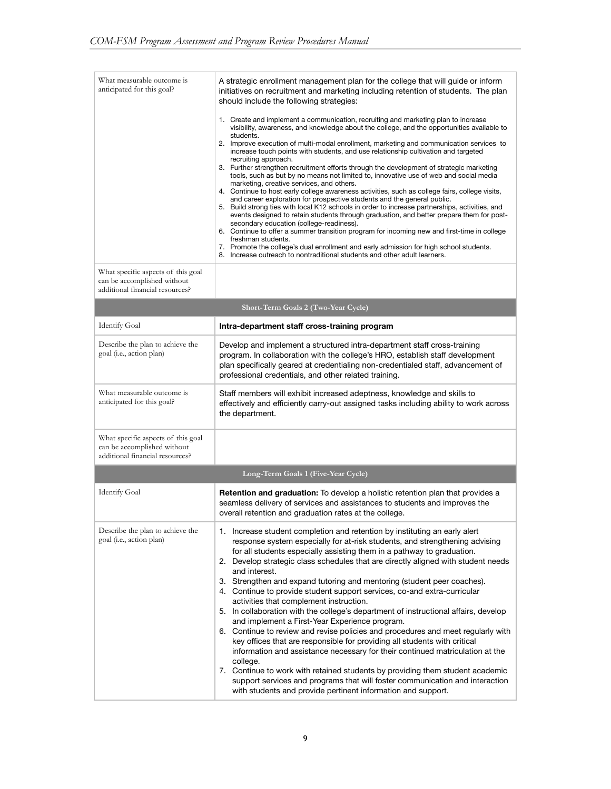| What measurable outcome is<br>anticipated for this goal?                                             | A strategic enrollment management plan for the college that will guide or inform<br>initiatives on recruitment and marketing including retention of students. The plan<br>should include the following strategies:                                                                                                                                                                                                                                                                                                                                                                                                                                                                                                                                                                                                                                                                                                                                                                                                                                                                                                                                                                                                                                                                                                                                          |
|------------------------------------------------------------------------------------------------------|-------------------------------------------------------------------------------------------------------------------------------------------------------------------------------------------------------------------------------------------------------------------------------------------------------------------------------------------------------------------------------------------------------------------------------------------------------------------------------------------------------------------------------------------------------------------------------------------------------------------------------------------------------------------------------------------------------------------------------------------------------------------------------------------------------------------------------------------------------------------------------------------------------------------------------------------------------------------------------------------------------------------------------------------------------------------------------------------------------------------------------------------------------------------------------------------------------------------------------------------------------------------------------------------------------------------------------------------------------------|
| What specific aspects of this goal                                                                   | 1. Create and implement a communication, recruiting and marketing plan to increase<br>visibility, awareness, and knowledge about the college, and the opportunities available to<br>students.<br>2. Improve execution of multi-modal enrollment, marketing and communication services to<br>increase touch points with students, and use relationship cultivation and targeted<br>recruiting approach.<br>3. Further strengthen recruitment efforts through the development of strategic marketing<br>tools, such as but by no means not limited to, innovative use of web and social media<br>marketing, creative services, and others.<br>4. Continue to host early college awareness activities, such as college fairs, college visits,<br>and career exploration for prospective students and the general public.<br>5. Build strong ties with local K12 schools in order to increase partnerships, activities, and<br>events designed to retain students through graduation, and better prepare them for post-<br>secondary education (college-readiness).<br>6. Continue to offer a summer transition program for incoming new and first-time in college<br>freshman students.<br>7. Promote the college's dual enrollment and early admission for high school students.<br>8. Increase outreach to nontraditional students and other adult learners. |
| can be accomplished without<br>additional financial resources?                                       |                                                                                                                                                                                                                                                                                                                                                                                                                                                                                                                                                                                                                                                                                                                                                                                                                                                                                                                                                                                                                                                                                                                                                                                                                                                                                                                                                             |
|                                                                                                      | Short-Term Goals 2 (Two-Year Cycle)                                                                                                                                                                                                                                                                                                                                                                                                                                                                                                                                                                                                                                                                                                                                                                                                                                                                                                                                                                                                                                                                                                                                                                                                                                                                                                                         |
| <b>Identify Goal</b>                                                                                 | Intra-department staff cross-training program                                                                                                                                                                                                                                                                                                                                                                                                                                                                                                                                                                                                                                                                                                                                                                                                                                                                                                                                                                                                                                                                                                                                                                                                                                                                                                               |
| Describe the plan to achieve the<br>goal (i.e., action plan)                                         | Develop and implement a structured intra-department staff cross-training<br>program. In collaboration with the college's HRO, establish staff development<br>plan specifically geared at credentialing non-credentialed staff, advancement of<br>professional credentials, and other related training.                                                                                                                                                                                                                                                                                                                                                                                                                                                                                                                                                                                                                                                                                                                                                                                                                                                                                                                                                                                                                                                      |
| What measurable outcome is<br>anticipated for this goal?                                             | Staff members will exhibit increased adeptness, knowledge and skills to<br>effectively and efficiently carry-out assigned tasks including ability to work across<br>the department.                                                                                                                                                                                                                                                                                                                                                                                                                                                                                                                                                                                                                                                                                                                                                                                                                                                                                                                                                                                                                                                                                                                                                                         |
| What specific aspects of this goal<br>can be accomplished without<br>additional financial resources? |                                                                                                                                                                                                                                                                                                                                                                                                                                                                                                                                                                                                                                                                                                                                                                                                                                                                                                                                                                                                                                                                                                                                                                                                                                                                                                                                                             |
|                                                                                                      | Long-Term Goals 1 (Five-Year Cycle)                                                                                                                                                                                                                                                                                                                                                                                                                                                                                                                                                                                                                                                                                                                                                                                                                                                                                                                                                                                                                                                                                                                                                                                                                                                                                                                         |
| Identify Goal                                                                                        | <b>Retention and graduation:</b> To develop a holistic retention plan that provides a<br>seamless delivery of services and assistances to students and improves the<br>overall retention and graduation rates at the college.                                                                                                                                                                                                                                                                                                                                                                                                                                                                                                                                                                                                                                                                                                                                                                                                                                                                                                                                                                                                                                                                                                                               |
| Describe the plan to achieve the<br>goal (i.e., action plan)                                         | 1. Increase student completion and retention by instituting an early alert<br>response system especially for at-risk students, and strengthening advising<br>for all students especially assisting them in a pathway to graduation.<br>2. Develop strategic class schedules that are directly aligned with student needs<br>and interest.<br>3. Strengthen and expand tutoring and mentoring (student peer coaches).<br>4. Continue to provide student support services, co-and extra-curricular<br>activities that complement instruction.<br>5. In collaboration with the college's department of instructional affairs, develop<br>and implement a First-Year Experience program.<br>6. Continue to review and revise policies and procedures and meet regularly with<br>key offices that are responsible for providing all students with critical<br>information and assistance necessary for their continued matriculation at the<br>college.<br>7. Continue to work with retained students by providing them student academic<br>support services and programs that will foster communication and interaction<br>with students and provide pertinent information and support.                                                                                                                                                                         |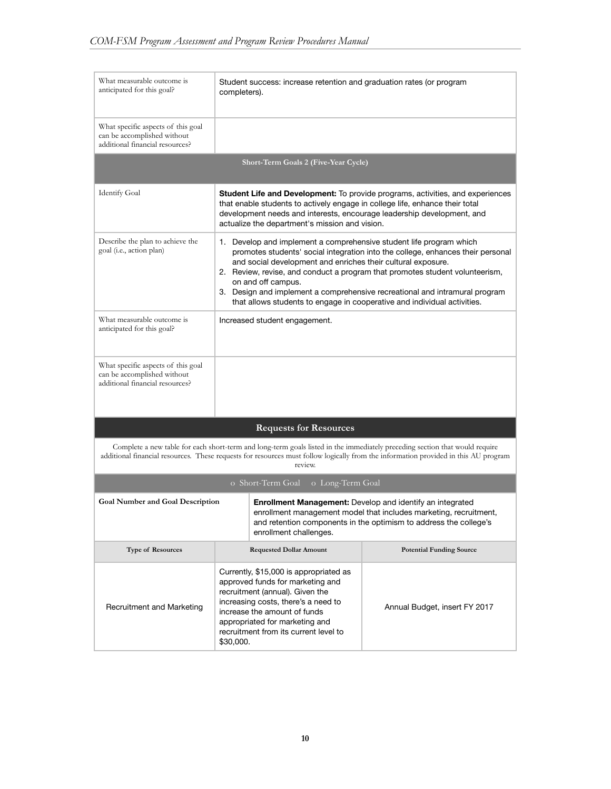| What measurable outcome is<br>anticipated for this goal?                                             | Student success: increase retention and graduation rates (or program<br>completers).                                                                                                                                                                                                                                                                                                                                                                                                    |                                                                                                                                                                                                            |  |  |
|------------------------------------------------------------------------------------------------------|-----------------------------------------------------------------------------------------------------------------------------------------------------------------------------------------------------------------------------------------------------------------------------------------------------------------------------------------------------------------------------------------------------------------------------------------------------------------------------------------|------------------------------------------------------------------------------------------------------------------------------------------------------------------------------------------------------------|--|--|
| What specific aspects of this goal<br>can be accomplished without<br>additional financial resources? |                                                                                                                                                                                                                                                                                                                                                                                                                                                                                         |                                                                                                                                                                                                            |  |  |
|                                                                                                      | <b>Short-Term Goals 2 (Five-Year Cycle)</b>                                                                                                                                                                                                                                                                                                                                                                                                                                             |                                                                                                                                                                                                            |  |  |
| <b>Identify Goal</b>                                                                                 | that enable students to actively engage in college life, enhance their total<br>development needs and interests, encourage leadership development, and<br>actualize the department's mission and vision.                                                                                                                                                                                                                                                                                | <b>Student Life and Development:</b> To provide programs, activities, and experiences                                                                                                                      |  |  |
| Describe the plan to achieve the<br>goal (i.e., action plan)                                         | 1. Develop and implement a comprehensive student life program which<br>promotes students' social integration into the college, enhances their personal<br>and social development and enriches their cultural exposure.<br>2. Review, revise, and conduct a program that promotes student volunteerism,<br>on and off campus.<br>3. Design and implement a comprehensive recreational and intramural program<br>that allows students to engage in cooperative and individual activities. |                                                                                                                                                                                                            |  |  |
| What measurable outcome is<br>anticipated for this goal?                                             | Increased student engagement.                                                                                                                                                                                                                                                                                                                                                                                                                                                           |                                                                                                                                                                                                            |  |  |
| What specific aspects of this goal<br>can be accomplished without<br>additional financial resources? |                                                                                                                                                                                                                                                                                                                                                                                                                                                                                         |                                                                                                                                                                                                            |  |  |
|                                                                                                      | <b>Requests for Resources</b>                                                                                                                                                                                                                                                                                                                                                                                                                                                           |                                                                                                                                                                                                            |  |  |
|                                                                                                      | Complete a new table for each short-term and long-term goals listed in the immediately preceding section that would require<br>review.                                                                                                                                                                                                                                                                                                                                                  | additional financial resources. These requests for resources must follow logically from the information provided in this AU program                                                                        |  |  |
|                                                                                                      | o Short-Term Goal<br>o Long-Term Goal                                                                                                                                                                                                                                                                                                                                                                                                                                                   |                                                                                                                                                                                                            |  |  |
| <b>Goal Number and Goal Description</b>                                                              | enrollment challenges.                                                                                                                                                                                                                                                                                                                                                                                                                                                                  | <b>Enrollment Management:</b> Develop and identify an integrated<br>enrollment management model that includes marketing, recruitment,<br>and retention components in the optimism to address the college's |  |  |
| <b>Type of Resources</b>                                                                             | <b>Requested Dollar Amount</b>                                                                                                                                                                                                                                                                                                                                                                                                                                                          | <b>Potential Funding Source</b>                                                                                                                                                                            |  |  |
| Recruitment and Marketing                                                                            | Currently, \$15,000 is appropriated as<br>approved funds for marketing and<br>recruitment (annual). Given the<br>increasing costs, there's a need to<br>increase the amount of funds<br>appropriated for marketing and<br>recruitment from its current level to<br>\$30,000.                                                                                                                                                                                                            | Annual Budget, insert FY 2017                                                                                                                                                                              |  |  |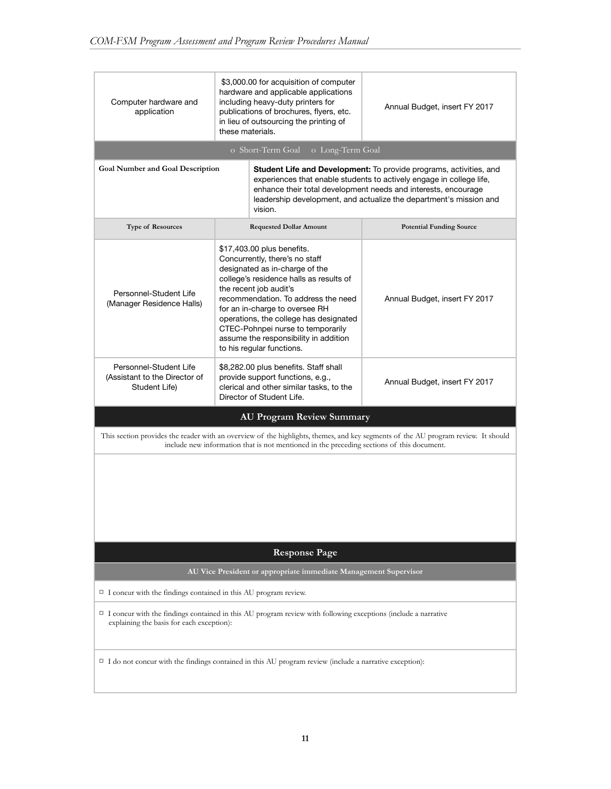| Computer hardware and<br>application                                                                                                                                                                                                                                                                                                     | \$3,000.00 for acquisition of computer<br>hardware and applicable applications<br>including heavy-duty printers for<br>publications of brochures, flyers, etc.<br>in lieu of outsourcing the printing of<br>these materials.                                                                                                                                                                      | Annual Budget, insert FY 2017                                                                                                     |  |  |  |
|------------------------------------------------------------------------------------------------------------------------------------------------------------------------------------------------------------------------------------------------------------------------------------------------------------------------------------------|---------------------------------------------------------------------------------------------------------------------------------------------------------------------------------------------------------------------------------------------------------------------------------------------------------------------------------------------------------------------------------------------------|-----------------------------------------------------------------------------------------------------------------------------------|--|--|--|
|                                                                                                                                                                                                                                                                                                                                          | o Short-Term Goal<br>o Long-Term Goal                                                                                                                                                                                                                                                                                                                                                             |                                                                                                                                   |  |  |  |
| <b>Goal Number and Goal Description</b><br>Student Life and Development: To provide programs, activities, and<br>experiences that enable students to actively engage in college life,<br>enhance their total development needs and interests, encourage<br>leadership development, and actualize the department's mission and<br>vision. |                                                                                                                                                                                                                                                                                                                                                                                                   |                                                                                                                                   |  |  |  |
| <b>Type of Resources</b>                                                                                                                                                                                                                                                                                                                 | <b>Requested Dollar Amount</b>                                                                                                                                                                                                                                                                                                                                                                    | <b>Potential Funding Source</b>                                                                                                   |  |  |  |
| Personnel-Student Life<br>(Manager Residence Halls)                                                                                                                                                                                                                                                                                      | \$17,403.00 plus benefits.<br>Concurrently, there's no staff<br>designated as in-charge of the<br>college's residence halls as results of<br>the recent job audit's<br>recommendation. To address the need<br>for an in-charge to oversee RH<br>operations, the college has designated<br>CTEC-Pohnpei nurse to temporarily<br>assume the responsibility in addition<br>to his regular functions. | Annual Budget, insert FY 2017                                                                                                     |  |  |  |
| Personnel-Student Life<br>(Assistant to the Director of<br>Student Life)                                                                                                                                                                                                                                                                 | \$8,282.00 plus benefits. Staff shall<br>provide support functions, e.g.,<br>clerical and other similar tasks, to the<br>Director of Student Life.                                                                                                                                                                                                                                                | Annual Budget, insert FY 2017                                                                                                     |  |  |  |
|                                                                                                                                                                                                                                                                                                                                          | <b>AU Program Review Summary</b>                                                                                                                                                                                                                                                                                                                                                                  |                                                                                                                                   |  |  |  |
|                                                                                                                                                                                                                                                                                                                                          | include new information that is not mentioned in the preceding sections of this document.                                                                                                                                                                                                                                                                                                         | This section provides the reader with an overview of the highlights, themes, and key segments of the AU program review. It should |  |  |  |
|                                                                                                                                                                                                                                                                                                                                          |                                                                                                                                                                                                                                                                                                                                                                                                   |                                                                                                                                   |  |  |  |
|                                                                                                                                                                                                                                                                                                                                          | <b>Response Page</b>                                                                                                                                                                                                                                                                                                                                                                              |                                                                                                                                   |  |  |  |
| AU Vice President or appropriate immediate Management Supervisor                                                                                                                                                                                                                                                                         |                                                                                                                                                                                                                                                                                                                                                                                                   |                                                                                                                                   |  |  |  |
| $\Box$ I concur with the findings contained in this AU program review.                                                                                                                                                                                                                                                                   |                                                                                                                                                                                                                                                                                                                                                                                                   |                                                                                                                                   |  |  |  |
| $\Box$ I concur with the findings contained in this AU program review with following exceptions (include a narrative<br>explaining the basis for each exception):                                                                                                                                                                        |                                                                                                                                                                                                                                                                                                                                                                                                   |                                                                                                                                   |  |  |  |
| $\Box$ I do not concur with the findings contained in this AU program review (include a narrative exception):                                                                                                                                                                                                                            |                                                                                                                                                                                                                                                                                                                                                                                                   |                                                                                                                                   |  |  |  |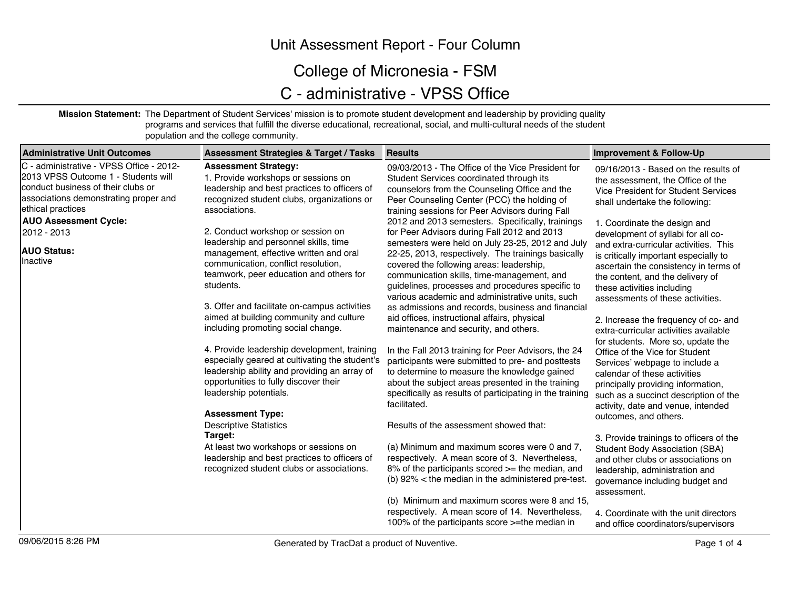### Unit Assessment Report - Four Column

## College of Micronesia - FSM

# C - administrative - VPSS Office

**Mission Statement:** The Department of Student Services' mission is to promote student development and leadership by providing quality programs and services that fulfill the diverse educational, recreational, social, and multi-cultural needs of the student population and the college community.

| Administrative Unit Outcomes                                                                                                                                                        | <b>Assessment Strategies &amp; Target / Tasks</b>                                                                                                                                                                | <b>Results</b>                                                                                                                                                                                                                                                                            | <b>Improvement &amp; Follow-Up</b>                                                                                                                                                                                            |
|-------------------------------------------------------------------------------------------------------------------------------------------------------------------------------------|------------------------------------------------------------------------------------------------------------------------------------------------------------------------------------------------------------------|-------------------------------------------------------------------------------------------------------------------------------------------------------------------------------------------------------------------------------------------------------------------------------------------|-------------------------------------------------------------------------------------------------------------------------------------------------------------------------------------------------------------------------------|
| C - administrative - VPSS Office - 2012-<br>2013 VPSS Outcome 1 - Students will<br>conduct business of their clubs or<br>associations demonstrating proper and<br>ethical practices | <b>Assessment Strategy:</b><br>1. Provide workshops or sessions on<br>leadership and best practices to officers of<br>recognized student clubs, organizations or<br>associations.                                | 09/03/2013 - The Office of the Vice President for<br>Student Services coordinated through its<br>counselors from the Counseling Office and the<br>Peer Counseling Center (PCC) the holding of<br>training sessions for Peer Advisors during Fall                                          | 09/16/2013 - Based on the results of<br>the assessment, the Office of the<br>Vice President for Student Services<br>shall undertake the following:                                                                            |
| <b>AUO Assessment Cycle:</b>                                                                                                                                                        |                                                                                                                                                                                                                  | 2012 and 2013 semesters. Specifically, trainings                                                                                                                                                                                                                                          | 1. Coordinate the design and                                                                                                                                                                                                  |
| 2012 - 2013                                                                                                                                                                         | 2. Conduct workshop or session on<br>leadership and personnel skills, time                                                                                                                                       | for Peer Advisors during Fall 2012 and 2013<br>semesters were held on July 23-25, 2012 and July                                                                                                                                                                                           | development of syllabi for all co-                                                                                                                                                                                            |
| <b>AUO Status:</b><br>Inactive                                                                                                                                                      | management, effective written and oral<br>communication, conflict resolution,<br>teamwork, peer education and others for<br>students.                                                                            | 22-25, 2013, respectively. The trainings basically<br>covered the following areas: leadership,<br>communication skills, time-management, and<br>guidelines, processes and procedures specific to<br>various academic and administrative units, such                                       | and extra-curricular activities. This<br>is critically important especially to<br>ascertain the consistency in terms of<br>the content, and the delivery of<br>these activities including<br>assessments of these activities. |
|                                                                                                                                                                                     | 3. Offer and facilitate on-campus activities                                                                                                                                                                     | as admissions and records, business and financial                                                                                                                                                                                                                                         |                                                                                                                                                                                                                               |
|                                                                                                                                                                                     | aimed at building community and culture<br>including promoting social change.                                                                                                                                    | aid offices, instructional affairs, physical<br>maintenance and security, and others.                                                                                                                                                                                                     | 2. Increase the frequency of co- and<br>extra-curricular activities available<br>for students. More so, update the                                                                                                            |
|                                                                                                                                                                                     | 4. Provide leadership development, training<br>especially geared at cultivating the student's<br>leadership ability and providing an array of<br>opportunities to fully discover their<br>leadership potentials. | In the Fall 2013 training for Peer Advisors, the 24<br>participants were submitted to pre- and posttests<br>to determine to measure the knowledge gained<br>about the subject areas presented in the training<br>specifically as results of participating in the training<br>facilitated. | Office of the Vice for Student<br>Services' webpage to include a<br>calendar of these activities<br>principally providing information,<br>such as a succinct description of the<br>activity, date and venue, intended         |
|                                                                                                                                                                                     | <b>Assessment Type:</b><br><b>Descriptive Statistics</b>                                                                                                                                                         | Results of the assessment showed that:                                                                                                                                                                                                                                                    | outcomes, and others.                                                                                                                                                                                                         |
|                                                                                                                                                                                     | Target:<br>At least two workshops or sessions on<br>leadership and best practices to officers of<br>recognized student clubs or associations.                                                                    | (a) Minimum and maximum scores were 0 and 7,<br>respectively. A mean score of 3. Nevertheless,<br>8% of the participants scored $\geq$ the median, and<br>(b) $92\%$ < the median in the administered pre-test.<br>(b) Minimum and maximum scores were 8 and 15,                          | 3. Provide trainings to officers of the<br><b>Student Body Association (SBA)</b><br>and other clubs or associations on<br>leadership, administration and<br>governance including budget and<br>assessment.                    |
|                                                                                                                                                                                     |                                                                                                                                                                                                                  | respectively. A mean score of 14. Nevertheless,<br>100% of the participants score >=the median in                                                                                                                                                                                         | 4. Coordinate with the unit directors<br>and office coordinators/supervisors                                                                                                                                                  |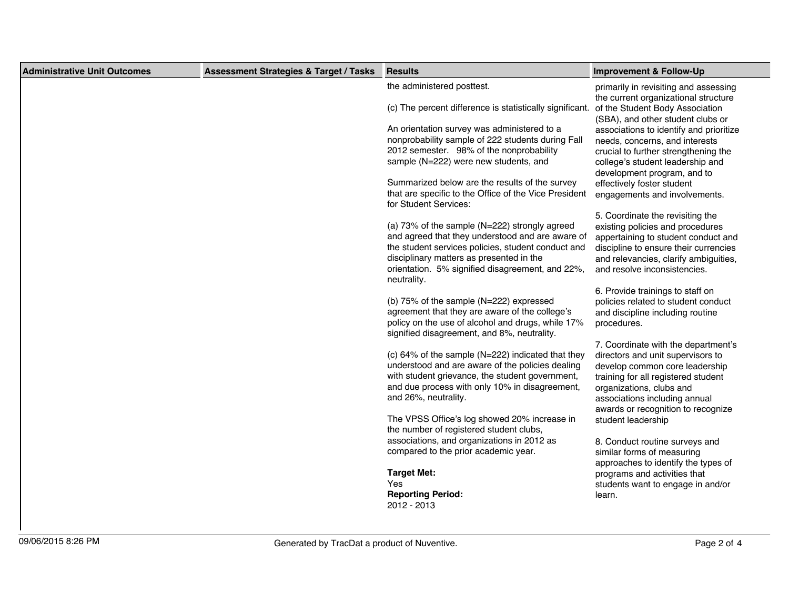| <b>Administrative Unit Outcomes</b> | <b>Assessment Strategies &amp; Target / Tasks</b> | <b>Results</b>                                                                                                                                                                                                                                                         | <b>Improvement &amp; Follow-Up</b>                                                                                                                                                                                                                   |
|-------------------------------------|---------------------------------------------------|------------------------------------------------------------------------------------------------------------------------------------------------------------------------------------------------------------------------------------------------------------------------|------------------------------------------------------------------------------------------------------------------------------------------------------------------------------------------------------------------------------------------------------|
|                                     |                                                   | the administered posttest.<br>(c) The percent difference is statistically significant.                                                                                                                                                                                 | primarily in revisiting and assessing<br>the current organizational structure<br>of the Student Body Association                                                                                                                                     |
|                                     |                                                   | An orientation survey was administered to a<br>nonprobability sample of 222 students during Fall<br>2012 semester. 98% of the nonprobability<br>sample (N=222) were new students, and                                                                                  | (SBA), and other student clubs or<br>associations to identify and prioritize<br>needs, concerns, and interests<br>crucial to further strengthening the<br>college's student leadership and<br>development program, and to                            |
|                                     |                                                   | Summarized below are the results of the survey<br>that are specific to the Office of the Vice President<br>for Student Services:                                                                                                                                       | effectively foster student<br>engagements and involvements.                                                                                                                                                                                          |
|                                     |                                                   | (a) 73% of the sample (N=222) strongly agreed<br>and agreed that they understood and are aware of<br>the student services policies, student conduct and<br>disciplinary matters as presented in the<br>orientation. 5% signified disagreement, and 22%,<br>neutrality. | 5. Coordinate the revisiting the<br>existing policies and procedures<br>appertaining to student conduct and<br>discipline to ensure their currencies<br>and relevancies, clarify ambiguities,<br>and resolve inconsistencies.                        |
|                                     |                                                   | (b) $75\%$ of the sample (N=222) expressed<br>agreement that they are aware of the college's<br>policy on the use of alcohol and drugs, while 17%<br>signified disagreement, and 8%, neutrality.                                                                       | 6. Provide trainings to staff on<br>policies related to student conduct<br>and discipline including routine<br>procedures.                                                                                                                           |
|                                     |                                                   | (c) 64% of the sample (N=222) indicated that they<br>understood and are aware of the policies dealing<br>with student grievance, the student government,<br>and due process with only 10% in disagreement,<br>and 26%, neutrality.                                     | 7. Coordinate with the department's<br>directors and unit supervisors to<br>develop common core leadership<br>training for all registered student<br>organizations, clubs and<br>associations including annual<br>awards or recognition to recognize |
|                                     |                                                   | The VPSS Office's log showed 20% increase in<br>the number of registered student clubs,<br>associations, and organizations in 2012 as                                                                                                                                  | student leadership<br>8. Conduct routine surveys and                                                                                                                                                                                                 |
|                                     |                                                   | compared to the prior academic year.                                                                                                                                                                                                                                   | similar forms of measuring<br>approaches to identify the types of                                                                                                                                                                                    |
|                                     |                                                   | <b>Target Met:</b><br><b>Yes</b><br><b>Reporting Period:</b><br>2012 - 2013                                                                                                                                                                                            | programs and activities that<br>students want to engage in and/or<br>learn.                                                                                                                                                                          |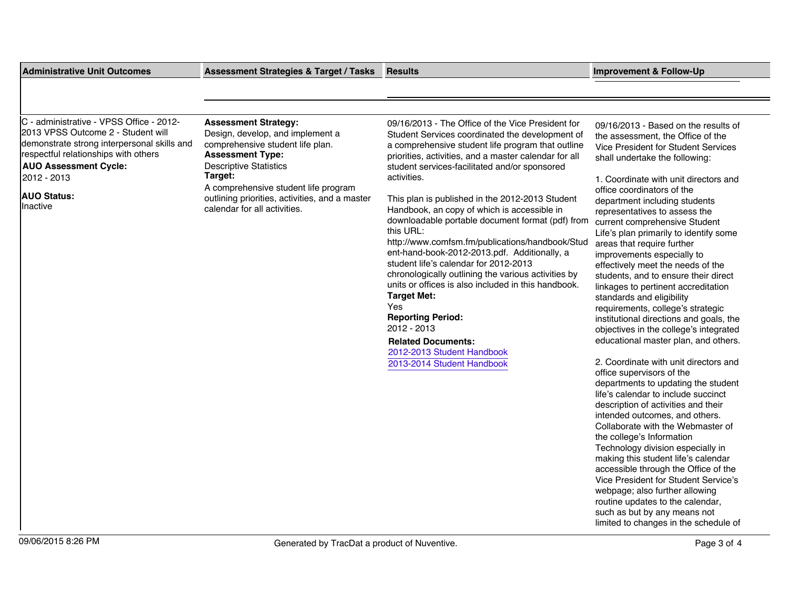| <b>Administrative Unit Outcomes</b>                                                                                                                                                                                                                    | <b>Assessment Strategies &amp; Target / Tasks</b>                                                                                                                                                                                                                                                    | <b>Results</b>                                                                                                                                                                                                                                                                                                                                                                                                                                                                                                                                                                                                                                                                                                                                                                                                                                                                   | <b>Improvement &amp; Follow-Up</b>                                                                                                                                                                                                                                                                                                                                                                                                                                                                                                                                                                                                                                                                                                                                                                                                                                                                                                                                                                                                                                                                                                                                                                                                                                                                                                                              |
|--------------------------------------------------------------------------------------------------------------------------------------------------------------------------------------------------------------------------------------------------------|------------------------------------------------------------------------------------------------------------------------------------------------------------------------------------------------------------------------------------------------------------------------------------------------------|----------------------------------------------------------------------------------------------------------------------------------------------------------------------------------------------------------------------------------------------------------------------------------------------------------------------------------------------------------------------------------------------------------------------------------------------------------------------------------------------------------------------------------------------------------------------------------------------------------------------------------------------------------------------------------------------------------------------------------------------------------------------------------------------------------------------------------------------------------------------------------|-----------------------------------------------------------------------------------------------------------------------------------------------------------------------------------------------------------------------------------------------------------------------------------------------------------------------------------------------------------------------------------------------------------------------------------------------------------------------------------------------------------------------------------------------------------------------------------------------------------------------------------------------------------------------------------------------------------------------------------------------------------------------------------------------------------------------------------------------------------------------------------------------------------------------------------------------------------------------------------------------------------------------------------------------------------------------------------------------------------------------------------------------------------------------------------------------------------------------------------------------------------------------------------------------------------------------------------------------------------------|
|                                                                                                                                                                                                                                                        |                                                                                                                                                                                                                                                                                                      |                                                                                                                                                                                                                                                                                                                                                                                                                                                                                                                                                                                                                                                                                                                                                                                                                                                                                  |                                                                                                                                                                                                                                                                                                                                                                                                                                                                                                                                                                                                                                                                                                                                                                                                                                                                                                                                                                                                                                                                                                                                                                                                                                                                                                                                                                 |
|                                                                                                                                                                                                                                                        |                                                                                                                                                                                                                                                                                                      |                                                                                                                                                                                                                                                                                                                                                                                                                                                                                                                                                                                                                                                                                                                                                                                                                                                                                  |                                                                                                                                                                                                                                                                                                                                                                                                                                                                                                                                                                                                                                                                                                                                                                                                                                                                                                                                                                                                                                                                                                                                                                                                                                                                                                                                                                 |
| C - administrative - VPSS Office - 2012-<br>2013 VPSS Outcome 2 - Student will<br>demonstrate strong interpersonal skills and<br>respectful relationships with others<br><b>AUO Assessment Cycle:</b><br>2012 - 2013<br><b>AUO Status:</b><br>Inactive | <b>Assessment Strategy:</b><br>Design, develop, and implement a<br>comprehensive student life plan.<br><b>Assessment Type:</b><br><b>Descriptive Statistics</b><br>Target:<br>A comprehensive student life program<br>outlining priorities, activities, and a master<br>calendar for all activities. | 09/16/2013 - The Office of the Vice President for<br>Student Services coordinated the development of<br>a comprehensive student life program that outline<br>priorities, activities, and a master calendar for all<br>student services-facilitated and/or sponsored<br>activities.<br>This plan is published in the 2012-2013 Student<br>Handbook, an copy of which is accessible in<br>downloadable portable document format (pdf) from<br>this URL:<br>http://www.comfsm.fm/publications/handbook/Stud<br>ent-hand-book-2012-2013.pdf. Additionally, a<br>student life's calendar for 2012-2013<br>chronologically outlining the various activities by<br>units or offices is also included in this handbook.<br><b>Target Met:</b><br>Yes<br><b>Reporting Period:</b><br>2012 - 2013<br><b>Related Documents:</b><br>2012-2013 Student Handbook<br>2013-2014 Student Handbook | 09/16/2013 - Based on the results of<br>the assessment, the Office of the<br>Vice President for Student Services<br>shall undertake the following:<br>1. Coordinate with unit directors and<br>office coordinators of the<br>department including students<br>representatives to assess the<br>current comprehensive Student<br>Life's plan primarily to identify some<br>areas that require further<br>improvements especially to<br>effectively meet the needs of the<br>students, and to ensure their direct<br>linkages to pertinent accreditation<br>standards and eligibility<br>requirements, college's strategic<br>institutional directions and goals, the<br>objectives in the college's integrated<br>educational master plan, and others.<br>2. Coordinate with unit directors and<br>office supervisors of the<br>departments to updating the student<br>life's calendar to include succinct<br>description of activities and their<br>intended outcomes, and others.<br>Collaborate with the Webmaster of<br>the college's Information<br>Technology division especially in<br>making this student life's calendar<br>accessible through the Office of the<br>Vice President for Student Service's<br>webpage; also further allowing<br>routine updates to the calendar,<br>such as but by any means not<br>limited to changes in the schedule of |
| 09/06/2015 8:26 PM                                                                                                                                                                                                                                     | Generated by TracDat a product of Nuventive.                                                                                                                                                                                                                                                         |                                                                                                                                                                                                                                                                                                                                                                                                                                                                                                                                                                                                                                                                                                                                                                                                                                                                                  | Page 3 of 4                                                                                                                                                                                                                                                                                                                                                                                                                                                                                                                                                                                                                                                                                                                                                                                                                                                                                                                                                                                                                                                                                                                                                                                                                                                                                                                                                     |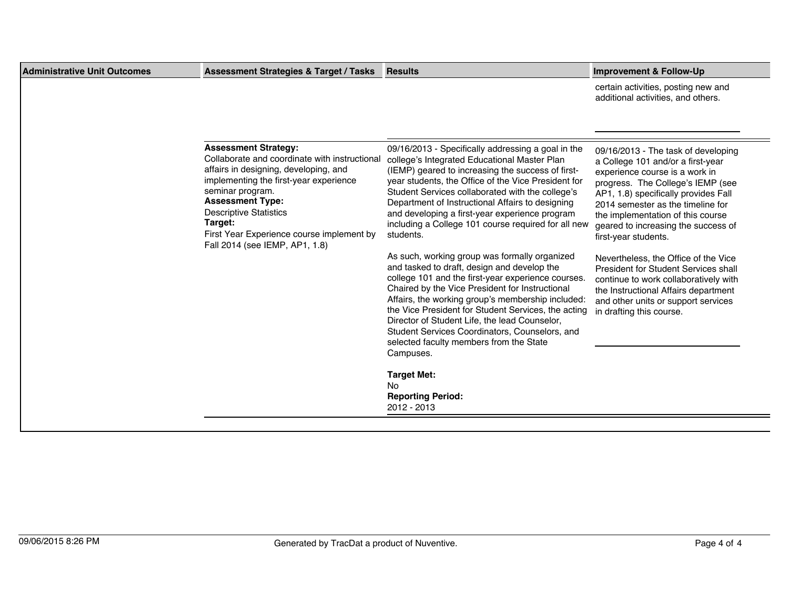| <b>Administrative Unit Outcomes</b> | <b>Assessment Strategies &amp; Target / Tasks</b>                                                                                                                                                                                                                                                                                         | <b>Results</b>                                                                                                                                                                                                                                                                                                                                                                                                                                                                                                                                                                                                                                                                                                                                                                                                                                                                                                                                            | <b>Improvement &amp; Follow-Up</b>                                                                                                                                                                                                                                                                                                                                                                                                                                                                                                                                          |
|-------------------------------------|-------------------------------------------------------------------------------------------------------------------------------------------------------------------------------------------------------------------------------------------------------------------------------------------------------------------------------------------|-----------------------------------------------------------------------------------------------------------------------------------------------------------------------------------------------------------------------------------------------------------------------------------------------------------------------------------------------------------------------------------------------------------------------------------------------------------------------------------------------------------------------------------------------------------------------------------------------------------------------------------------------------------------------------------------------------------------------------------------------------------------------------------------------------------------------------------------------------------------------------------------------------------------------------------------------------------|-----------------------------------------------------------------------------------------------------------------------------------------------------------------------------------------------------------------------------------------------------------------------------------------------------------------------------------------------------------------------------------------------------------------------------------------------------------------------------------------------------------------------------------------------------------------------------|
|                                     |                                                                                                                                                                                                                                                                                                                                           |                                                                                                                                                                                                                                                                                                                                                                                                                                                                                                                                                                                                                                                                                                                                                                                                                                                                                                                                                           | certain activities, posting new and<br>additional activities, and others.                                                                                                                                                                                                                                                                                                                                                                                                                                                                                                   |
|                                     |                                                                                                                                                                                                                                                                                                                                           |                                                                                                                                                                                                                                                                                                                                                                                                                                                                                                                                                                                                                                                                                                                                                                                                                                                                                                                                                           |                                                                                                                                                                                                                                                                                                                                                                                                                                                                                                                                                                             |
|                                     | <b>Assessment Strategy:</b><br>Collaborate and coordinate with instructional<br>affairs in designing, developing, and<br>implementing the first-year experience<br>seminar program.<br><b>Assessment Type:</b><br><b>Descriptive Statistics</b><br>Target:<br>First Year Experience course implement by<br>Fall 2014 (see IEMP, AP1, 1.8) | 09/16/2013 - Specifically addressing a goal in the<br>college's Integrated Educational Master Plan<br>(IEMP) geared to increasing the success of first-<br>year students, the Office of the Vice President for<br>Student Services collaborated with the college's<br>Department of Instructional Affairs to designing<br>and developing a first-year experience program<br>including a College 101 course required for all new<br>students.<br>As such, working group was formally organized<br>and tasked to draft, design and develop the<br>college 101 and the first-year experience courses.<br>Chaired by the Vice President for Instructional<br>Affairs, the working group's membership included:<br>the Vice President for Student Services, the acting<br>Director of Student Life, the lead Counselor,<br>Student Services Coordinators, Counselors, and<br>selected faculty members from the State<br>Campuses.<br><b>Target Met:</b><br>No. | 09/16/2013 - The task of developing<br>a College 101 and/or a first-year<br>experience course is a work in<br>progress. The College's IEMP (see<br>AP1, 1.8) specifically provides Fall<br>2014 semester as the timeline for<br>the implementation of this course<br>geared to increasing the success of<br>first-year students.<br>Nevertheless, the Office of the Vice<br><b>President for Student Services shall</b><br>continue to work collaboratively with<br>the Instructional Affairs department<br>and other units or support services<br>in drafting this course. |
|                                     |                                                                                                                                                                                                                                                                                                                                           | <b>Reporting Period:</b><br>2012 - 2013                                                                                                                                                                                                                                                                                                                                                                                                                                                                                                                                                                                                                                                                                                                                                                                                                                                                                                                   |                                                                                                                                                                                                                                                                                                                                                                                                                                                                                                                                                                             |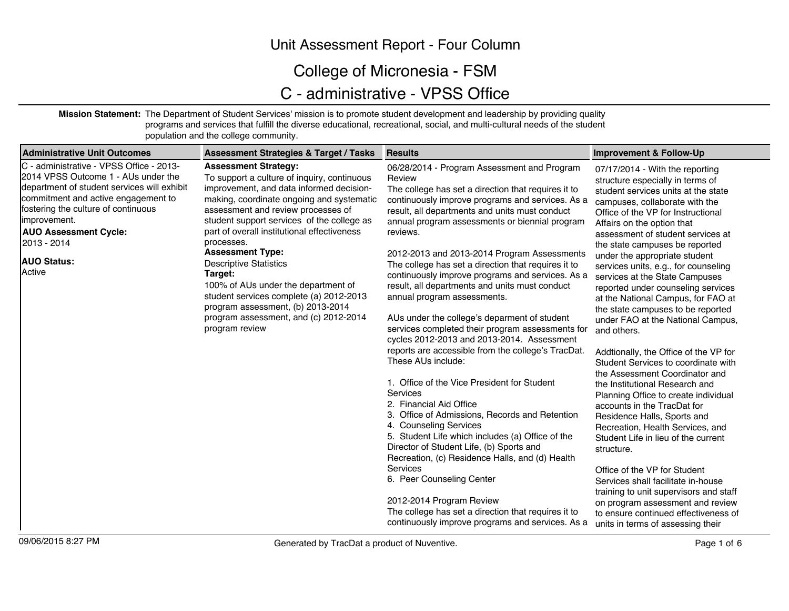### Unit Assessment Report - Four Column

## College of Micronesia - FSM

# C - administrative - VPSS Office

**Mission Statement:** The Department of Student Services' mission is to promote student development and leadership by providing quality programs and services that fulfill the diverse educational, recreational, social, and multi-cultural needs of the student population and the college community.

| <b>Administrative Unit Outcomes</b>                                                                                                                                                                                                                                                                          | <b>Assessment Strategies &amp; Target / Tasks</b>                                                                                                                                                                                                                                                                                                                                                                                                                                                                                                                             | <b>Results</b>                                                                                                                                                                                                                                                                                                                                                                                                                                                                                                                                                                                                                                                                                                                                                                                                                                                                                                                                                                                                                                                                                                                                                                                                                                                 | <b>Improvement &amp; Follow-Up</b>                                                                                                                                                                                                                                                                                                                                                                                                                                                                                                                                                                                                                                                                                                                                                                                                                                                                                                                                                                                                                                                                                                                          |
|--------------------------------------------------------------------------------------------------------------------------------------------------------------------------------------------------------------------------------------------------------------------------------------------------------------|-------------------------------------------------------------------------------------------------------------------------------------------------------------------------------------------------------------------------------------------------------------------------------------------------------------------------------------------------------------------------------------------------------------------------------------------------------------------------------------------------------------------------------------------------------------------------------|----------------------------------------------------------------------------------------------------------------------------------------------------------------------------------------------------------------------------------------------------------------------------------------------------------------------------------------------------------------------------------------------------------------------------------------------------------------------------------------------------------------------------------------------------------------------------------------------------------------------------------------------------------------------------------------------------------------------------------------------------------------------------------------------------------------------------------------------------------------------------------------------------------------------------------------------------------------------------------------------------------------------------------------------------------------------------------------------------------------------------------------------------------------------------------------------------------------------------------------------------------------|-------------------------------------------------------------------------------------------------------------------------------------------------------------------------------------------------------------------------------------------------------------------------------------------------------------------------------------------------------------------------------------------------------------------------------------------------------------------------------------------------------------------------------------------------------------------------------------------------------------------------------------------------------------------------------------------------------------------------------------------------------------------------------------------------------------------------------------------------------------------------------------------------------------------------------------------------------------------------------------------------------------------------------------------------------------------------------------------------------------------------------------------------------------|
| C - administrative - VPSS Office - 2013-<br>2014 VPSS Outcome 1 - AUs under the<br>department of student services will exhibit<br>commitment and active engagement to<br>fostering the culture of continuous<br>limprovement.<br><b>AUO Assessment Cycle:</b><br>2013 - 2014<br><b>AUO Status:</b><br>Active | <b>Assessment Strategy:</b><br>To support a culture of inquiry, continuous<br>improvement, and data informed decision-<br>making, coordinate ongoing and systematic<br>assessment and review processes of<br>student support services of the college as<br>part of overall institutional effectiveness<br>processes.<br><b>Assessment Type:</b><br><b>Descriptive Statistics</b><br>Target:<br>100% of AUs under the department of<br>student services complete (a) 2012-2013<br>program assessment, (b) 2013-2014<br>program assessment, and (c) 2012-2014<br>program review | 06/28/2014 - Program Assessment and Program<br>Review<br>The college has set a direction that requires it to<br>continuously improve programs and services. As a<br>result, all departments and units must conduct<br>annual program assessments or biennial program<br>reviews.<br>2012-2013 and 2013-2014 Program Assessments<br>The college has set a direction that requires it to<br>continuously improve programs and services. As a<br>result, all departments and units must conduct<br>annual program assessments.<br>AUs under the college's deparment of student<br>services completed their program assessments for<br>cycles 2012-2013 and 2013-2014. Assessment<br>reports are accessible from the college's TracDat.<br>These AUs include:<br>1. Office of the Vice President for Student<br>Services<br>2. Financial Aid Office<br>3. Office of Admissions, Records and Retention<br>4. Counseling Services<br>5. Student Life which includes (a) Office of the<br>Director of Student Life, (b) Sports and<br>Recreation, (c) Residence Halls, and (d) Health<br>Services<br>6. Peer Counseling Center<br>2012-2014 Program Review<br>The college has set a direction that requires it to<br>continuously improve programs and services. As a | 07/17/2014 - With the reporting<br>structure especially in terms of<br>student services units at the state<br>campuses, collaborate with the<br>Office of the VP for Instructional<br>Affairs on the option that<br>assessment of student services at<br>the state campuses be reported<br>under the appropriate student<br>services units, e.g., for counseling<br>services at the State Campuses<br>reported under counseling services<br>at the National Campus, for FAO at<br>the state campuses to be reported<br>under FAO at the National Campus,<br>and others.<br>Addtionally, the Office of the VP for<br>Student Services to coordinate with<br>the Assessment Coordinator and<br>the Institutional Research and<br>Planning Office to create individual<br>accounts in the TracDat for<br>Residence Halls, Sports and<br>Recreation, Health Services, and<br>Student Life in lieu of the current<br>structure.<br>Office of the VP for Student<br>Services shall facilitate in-house<br>training to unit supervisors and staff<br>on program assessment and review<br>to ensure continued effectiveness of<br>units in terms of assessing their |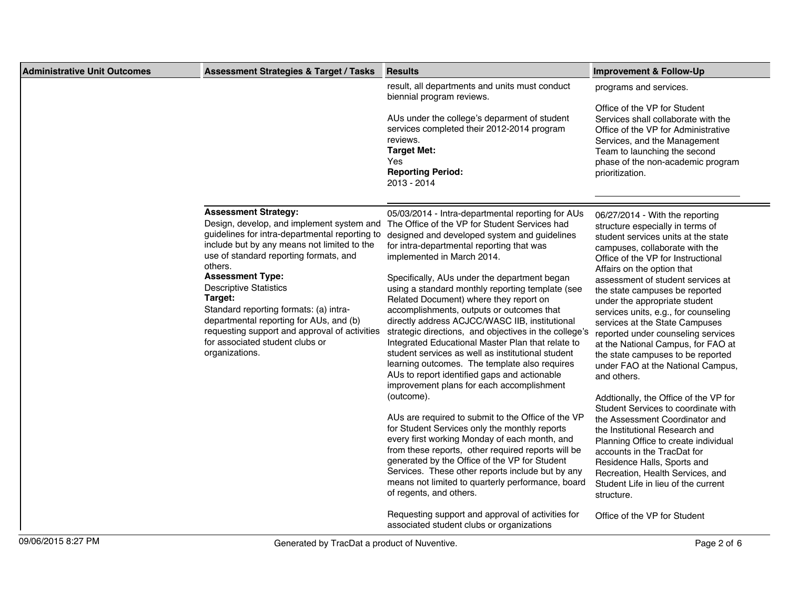| <b>Administrative Unit Outcomes</b> | <b>Assessment Strategies &amp; Target / Tasks</b>                                                                                                                                                                                                                                                                                                                                                                                                                                                | <b>Results</b>                                                                                                                                                                                                                                                                                                                                                                                                                                                                                                                                                                                                                                                                                                                                                                                                                                                                                                                                                                                                                                                                                                                                                                                                                                                                                                 | <b>Improvement &amp; Follow-Up</b>                                                                                                                                                                                                                                                                                                                                                                                                                                                                                                                                                                                                                                                                                                                                                                                                                                                                                                                         |
|-------------------------------------|--------------------------------------------------------------------------------------------------------------------------------------------------------------------------------------------------------------------------------------------------------------------------------------------------------------------------------------------------------------------------------------------------------------------------------------------------------------------------------------------------|----------------------------------------------------------------------------------------------------------------------------------------------------------------------------------------------------------------------------------------------------------------------------------------------------------------------------------------------------------------------------------------------------------------------------------------------------------------------------------------------------------------------------------------------------------------------------------------------------------------------------------------------------------------------------------------------------------------------------------------------------------------------------------------------------------------------------------------------------------------------------------------------------------------------------------------------------------------------------------------------------------------------------------------------------------------------------------------------------------------------------------------------------------------------------------------------------------------------------------------------------------------------------------------------------------------|------------------------------------------------------------------------------------------------------------------------------------------------------------------------------------------------------------------------------------------------------------------------------------------------------------------------------------------------------------------------------------------------------------------------------------------------------------------------------------------------------------------------------------------------------------------------------------------------------------------------------------------------------------------------------------------------------------------------------------------------------------------------------------------------------------------------------------------------------------------------------------------------------------------------------------------------------------|
|                                     |                                                                                                                                                                                                                                                                                                                                                                                                                                                                                                  | result, all departments and units must conduct<br>biennial program reviews.<br>AUs under the college's deparment of student<br>services completed their 2012-2014 program<br>reviews.<br><b>Target Met:</b><br>Yes<br><b>Reporting Period:</b><br>2013 - 2014                                                                                                                                                                                                                                                                                                                                                                                                                                                                                                                                                                                                                                                                                                                                                                                                                                                                                                                                                                                                                                                  | programs and services.<br>Office of the VP for Student<br>Services shall collaborate with the<br>Office of the VP for Administrative<br>Services, and the Management<br>Team to launching the second<br>phase of the non-academic program<br>prioritization.                                                                                                                                                                                                                                                                                                                                                                                                                                                                                                                                                                                                                                                                                               |
|                                     | <b>Assessment Strategy:</b><br>Design, develop, and implement system and<br>guidelines for intra-departmental reporting to<br>include but by any means not limited to the<br>use of standard reporting formats, and<br>others.<br><b>Assessment Type:</b><br><b>Descriptive Statistics</b><br>Target:<br>Standard reporting formats: (a) intra-<br>departmental reporting for AUs, and (b)<br>requesting support and approval of activities<br>for associated student clubs or<br>organizations. | 05/03/2014 - Intra-departmental reporting for AUs<br>The Office of the VP for Student Services had<br>designed and developed system and guidelines<br>for intra-departmental reporting that was<br>implemented in March 2014.<br>Specifically, AUs under the department began<br>using a standard monthly reporting template (see<br>Related Document) where they report on<br>accomplishments, outputs or outcomes that<br>directly address ACJCC/WASC IIB, institutional<br>strategic directions, and objectives in the college's<br>Integrated Educational Master Plan that relate to<br>student services as well as institutional student<br>learning outcomes. The template also requires<br>AUs to report identified gaps and actionable<br>improvement plans for each accomplishment<br>(outcome).<br>AUs are required to submit to the Office of the VP<br>for Student Services only the monthly reports<br>every first working Monday of each month, and<br>from these reports, other required reports will be<br>generated by the Office of the VP for Student<br>Services. These other reports include but by any<br>means not limited to quarterly performance, board<br>of regents, and others.<br>Requesting support and approval of activities for<br>associated student clubs or organizations | 06/27/2014 - With the reporting<br>structure especially in terms of<br>student services units at the state<br>campuses, collaborate with the<br>Office of the VP for Instructional<br>Affairs on the option that<br>assessment of student services at<br>the state campuses be reported<br>under the appropriate student<br>services units, e.g., for counseling<br>services at the State Campuses<br>reported under counseling services<br>at the National Campus, for FAO at<br>the state campuses to be reported<br>under FAO at the National Campus,<br>and others.<br>Addtionally, the Office of the VP for<br>Student Services to coordinate with<br>the Assessment Coordinator and<br>the Institutional Research and<br>Planning Office to create individual<br>accounts in the TracDat for<br>Residence Halls, Sports and<br>Recreation, Health Services, and<br>Student Life in lieu of the current<br>structure.<br>Office of the VP for Student |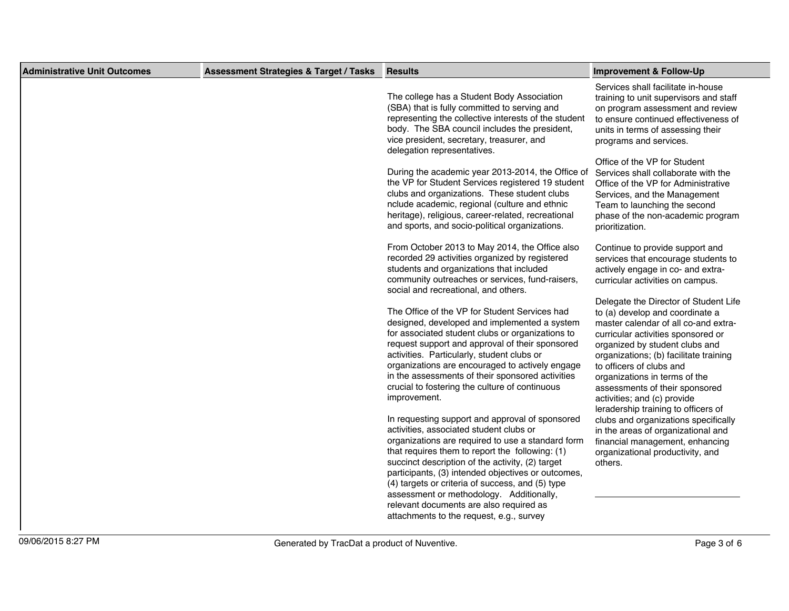| <b>Administrative Unit Outcomes</b> | <b>Assessment Strategies &amp; Target / Tasks</b> | <b>Results</b>                                                                                                                                                                                                                                                                                                                                                                                                                                                                                      | <b>Improvement &amp; Follow-Up</b>                                                                                                                                                                                                                                                                                                                                                                      |
|-------------------------------------|---------------------------------------------------|-----------------------------------------------------------------------------------------------------------------------------------------------------------------------------------------------------------------------------------------------------------------------------------------------------------------------------------------------------------------------------------------------------------------------------------------------------------------------------------------------------|---------------------------------------------------------------------------------------------------------------------------------------------------------------------------------------------------------------------------------------------------------------------------------------------------------------------------------------------------------------------------------------------------------|
|                                     |                                                   | The college has a Student Body Association<br>(SBA) that is fully committed to serving and<br>representing the collective interests of the student<br>body. The SBA council includes the president,<br>vice president, secretary, treasurer, and<br>delegation representatives.                                                                                                                                                                                                                     | Services shall facilitate in-house<br>training to unit supervisors and staff<br>on program assessment and review<br>to ensure continued effectiveness of<br>units in terms of assessing their<br>programs and services.                                                                                                                                                                                 |
|                                     |                                                   | During the academic year 2013-2014, the Office of<br>the VP for Student Services registered 19 student<br>clubs and organizations. These student clubs<br>nclude academic, regional (culture and ethnic<br>heritage), religious, career-related, recreational<br>and sports, and socio-political organizations.                                                                                                                                                                                     | Office of the VP for Student<br>Services shall collaborate with the<br>Office of the VP for Administrative<br>Services, and the Management<br>Team to launching the second<br>phase of the non-academic program<br>prioritization.                                                                                                                                                                      |
|                                     |                                                   | From October 2013 to May 2014, the Office also<br>recorded 29 activities organized by registered<br>students and organizations that included<br>community outreaches or services, fund-raisers,<br>social and recreational, and others.                                                                                                                                                                                                                                                             | Continue to provide support and<br>services that encourage students to<br>actively engage in co- and extra-<br>curricular activities on campus.                                                                                                                                                                                                                                                         |
|                                     |                                                   | The Office of the VP for Student Services had<br>designed, developed and implemented a system<br>for associated student clubs or organizations to<br>request support and approval of their sponsored<br>activities. Particularly, student clubs or<br>organizations are encouraged to actively engage<br>in the assessments of their sponsored activities<br>crucial to fostering the culture of continuous<br>improvement.                                                                         | Delegate the Director of Student Life<br>to (a) develop and coordinate a<br>master calendar of all co-and extra-<br>curricular activities sponsored or<br>organized by student clubs and<br>organizations; (b) facilitate training<br>to officers of clubs and<br>organizations in terms of the<br>assessments of their sponsored<br>activities; and (c) provide<br>leradership training to officers of |
|                                     |                                                   | In requesting support and approval of sponsored<br>activities, associated student clubs or<br>organizations are required to use a standard form<br>that requires them to report the following: (1)<br>succinct description of the activity, (2) target<br>participants, (3) intended objectives or outcomes,<br>(4) targets or criteria of success, and (5) type<br>assessment or methodology. Additionally,<br>relevant documents are also required as<br>attachments to the request, e.g., survey | clubs and organizations specifically<br>in the areas of organizational and<br>financial management, enhancing<br>organizational productivity, and<br>others.                                                                                                                                                                                                                                            |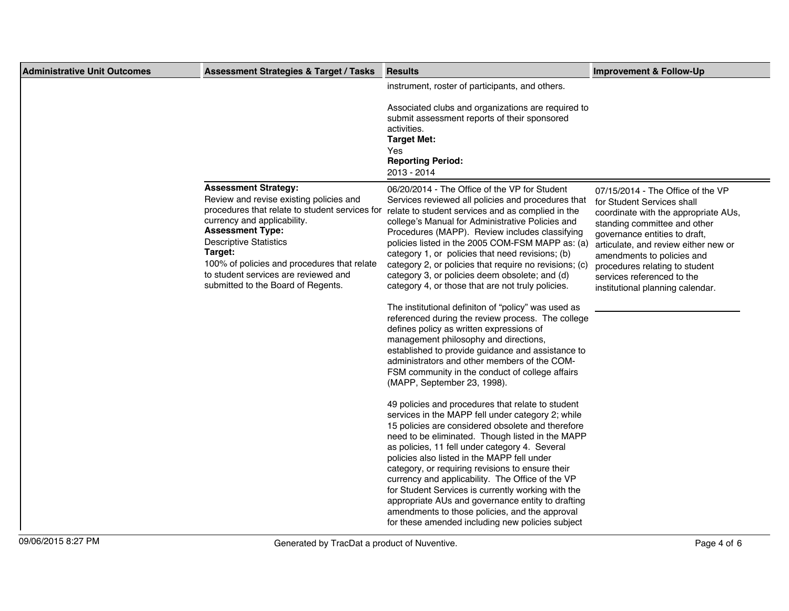| <b>Administrative Unit Outcomes</b> | <b>Assessment Strategies &amp; Target / Tasks</b>                                                                                                                                                                                                                                                                                                           | <b>Results</b>                                                                                                                                                                                                                                                                                                                                                                                                                                                                                                                                                                                                                                                                                                                                                                                                                                                                                                                                                                                                                                                                                                                                                                                                                                                                                                                                                                                                                                                                                                           | <b>Improvement &amp; Follow-Up</b>                                                                                                                                                                                                                                                                                                                 |
|-------------------------------------|-------------------------------------------------------------------------------------------------------------------------------------------------------------------------------------------------------------------------------------------------------------------------------------------------------------------------------------------------------------|--------------------------------------------------------------------------------------------------------------------------------------------------------------------------------------------------------------------------------------------------------------------------------------------------------------------------------------------------------------------------------------------------------------------------------------------------------------------------------------------------------------------------------------------------------------------------------------------------------------------------------------------------------------------------------------------------------------------------------------------------------------------------------------------------------------------------------------------------------------------------------------------------------------------------------------------------------------------------------------------------------------------------------------------------------------------------------------------------------------------------------------------------------------------------------------------------------------------------------------------------------------------------------------------------------------------------------------------------------------------------------------------------------------------------------------------------------------------------------------------------------------------------|----------------------------------------------------------------------------------------------------------------------------------------------------------------------------------------------------------------------------------------------------------------------------------------------------------------------------------------------------|
|                                     |                                                                                                                                                                                                                                                                                                                                                             | instrument, roster of participants, and others.<br>Associated clubs and organizations are required to<br>submit assessment reports of their sponsored<br>activities.<br><b>Target Met:</b><br>Yes<br><b>Reporting Period:</b><br>2013 - 2014                                                                                                                                                                                                                                                                                                                                                                                                                                                                                                                                                                                                                                                                                                                                                                                                                                                                                                                                                                                                                                                                                                                                                                                                                                                                             |                                                                                                                                                                                                                                                                                                                                                    |
|                                     | <b>Assessment Strategy:</b><br>Review and revise existing policies and<br>procedures that relate to student services for<br>currency and applicability.<br><b>Assessment Type:</b><br><b>Descriptive Statistics</b><br>Target:<br>100% of policies and procedures that relate<br>to student services are reviewed and<br>submitted to the Board of Regents. | 06/20/2014 - The Office of the VP for Student<br>Services reviewed all policies and procedures that<br>relate to student services and as complied in the<br>college's Manual for Administrative Policies and<br>Procedures (MAPP). Review includes classifying<br>policies listed in the 2005 COM-FSM MAPP as: (a)<br>category 1, or policies that need revisions; (b)<br>category 2, or policies that require no revisions; (c)<br>category 3, or policies deem obsolete; and (d)<br>category 4, or those that are not truly policies.<br>The institutional definiton of "policy" was used as<br>referenced during the review process. The college<br>defines policy as written expressions of<br>management philosophy and directions,<br>established to provide guidance and assistance to<br>administrators and other members of the COM-<br>FSM community in the conduct of college affairs<br>(MAPP, September 23, 1998).<br>49 policies and procedures that relate to student<br>services in the MAPP fell under category 2; while<br>15 policies are considered obsolete and therefore<br>need to be eliminated. Though listed in the MAPP<br>as policies, 11 fell under category 4. Several<br>policies also listed in the MAPP fell under<br>category, or requiring revisions to ensure their<br>currency and applicability. The Office of the VP<br>for Student Services is currently working with the<br>appropriate AUs and governance entity to drafting<br>amendments to those policies, and the approval | 07/15/2014 - The Office of the VP<br>for Student Services shall<br>coordinate with the appropriate AUs,<br>standing committee and other<br>governance entities to draft,<br>articulate, and review either new or<br>amendments to policies and<br>procedures relating to student<br>services referenced to the<br>institutional planning calendar. |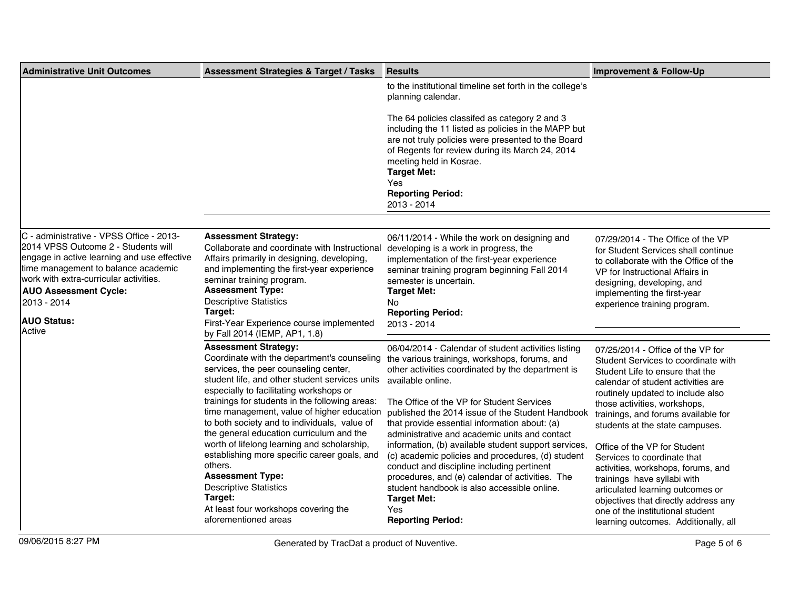| <b>Administrative Unit Outcomes</b>                                                                                                                                                                                                                                                            | <b>Assessment Strategies &amp; Target / Tasks</b>                                                                                                                                                                                                                                                                                                                                                                                                                                                                                                                                                                                                                                              | <b>Results</b>                                                                                                                                                                                                                                                                                                                                                                                                                                                                                                                                                                                                                                                                                          | <b>Improvement &amp; Follow-Up</b>                                                                                                                                                                                                                                                                                                                                                                                                                                                                                                                                                           |
|------------------------------------------------------------------------------------------------------------------------------------------------------------------------------------------------------------------------------------------------------------------------------------------------|------------------------------------------------------------------------------------------------------------------------------------------------------------------------------------------------------------------------------------------------------------------------------------------------------------------------------------------------------------------------------------------------------------------------------------------------------------------------------------------------------------------------------------------------------------------------------------------------------------------------------------------------------------------------------------------------|---------------------------------------------------------------------------------------------------------------------------------------------------------------------------------------------------------------------------------------------------------------------------------------------------------------------------------------------------------------------------------------------------------------------------------------------------------------------------------------------------------------------------------------------------------------------------------------------------------------------------------------------------------------------------------------------------------|----------------------------------------------------------------------------------------------------------------------------------------------------------------------------------------------------------------------------------------------------------------------------------------------------------------------------------------------------------------------------------------------------------------------------------------------------------------------------------------------------------------------------------------------------------------------------------------------|
|                                                                                                                                                                                                                                                                                                |                                                                                                                                                                                                                                                                                                                                                                                                                                                                                                                                                                                                                                                                                                | to the institutional timeline set forth in the college's<br>planning calendar.                                                                                                                                                                                                                                                                                                                                                                                                                                                                                                                                                                                                                          |                                                                                                                                                                                                                                                                                                                                                                                                                                                                                                                                                                                              |
|                                                                                                                                                                                                                                                                                                |                                                                                                                                                                                                                                                                                                                                                                                                                                                                                                                                                                                                                                                                                                | The 64 policies classifed as category 2 and 3<br>including the 11 listed as policies in the MAPP but<br>are not truly policies were presented to the Board<br>of Regents for review during its March 24, 2014                                                                                                                                                                                                                                                                                                                                                                                                                                                                                           |                                                                                                                                                                                                                                                                                                                                                                                                                                                                                                                                                                                              |
|                                                                                                                                                                                                                                                                                                |                                                                                                                                                                                                                                                                                                                                                                                                                                                                                                                                                                                                                                                                                                | meeting held in Kosrae.<br><b>Target Met:</b><br>Yes<br><b>Reporting Period:</b>                                                                                                                                                                                                                                                                                                                                                                                                                                                                                                                                                                                                                        |                                                                                                                                                                                                                                                                                                                                                                                                                                                                                                                                                                                              |
|                                                                                                                                                                                                                                                                                                |                                                                                                                                                                                                                                                                                                                                                                                                                                                                                                                                                                                                                                                                                                | 2013 - 2014                                                                                                                                                                                                                                                                                                                                                                                                                                                                                                                                                                                                                                                                                             |                                                                                                                                                                                                                                                                                                                                                                                                                                                                                                                                                                                              |
| C - administrative - VPSS Office - 2013-<br>2014 VPSS Outcome 2 - Students will<br>engage in active learning and use effective<br>time management to balance academic<br>work with extra-curricular activities.<br><b>AUO Assessment Cycle:</b><br>2013 - 2014<br><b>AUO Status:</b><br>Active | <b>Assessment Strategy:</b><br>Collaborate and coordinate with Instructional<br>Affairs primarily in designing, developing,<br>and implementing the first-year experience<br>seminar training program.<br><b>Assessment Type:</b><br><b>Descriptive Statistics</b><br>Target:<br>First-Year Experience course implemented                                                                                                                                                                                                                                                                                                                                                                      | 06/11/2014 - While the work on designing and<br>developing is a work in progress, the<br>implementation of the first-year experience<br>seminar training program beginning Fall 2014<br>semester is uncertain.<br><b>Target Met:</b><br>No<br><b>Reporting Period:</b><br>2013 - 2014                                                                                                                                                                                                                                                                                                                                                                                                                   | 07/29/2014 - The Office of the VP<br>for Student Services shall continue<br>to collaborate with the Office of the<br>VP for Instructional Affairs in<br>designing, developing, and<br>implementing the first-year<br>experience training program.                                                                                                                                                                                                                                                                                                                                            |
|                                                                                                                                                                                                                                                                                                | by Fall 2014 (IEMP, AP1, 1.8)<br><b>Assessment Strategy:</b><br>Coordinate with the department's counseling<br>services, the peer counseling center,<br>student life, and other student services units<br>especially to facilitating workshops or<br>trainings for students in the following areas:<br>time management, value of higher education<br>to both society and to individuals, value of<br>the general education curriculum and the<br>worth of lifelong learning and scholarship,<br>establishing more specific career goals, and<br>others.<br><b>Assessment Type:</b><br><b>Descriptive Statistics</b><br>Target:<br>At least four workshops covering the<br>aforementioned areas | 06/04/2014 - Calendar of student activities listing<br>the various trainings, workshops, forums, and<br>other activities coordinated by the department is<br>available online.<br>The Office of the VP for Student Services<br>published the 2014 issue of the Student Handbook<br>that provide essential information about: (a)<br>administrative and academic units and contact<br>information, (b) available student support services,<br>(c) academic policies and procedures, (d) student<br>conduct and discipline including pertinent<br>procedures, and (e) calendar of activities. The<br>student handbook is also accessible online.<br><b>Target Met:</b><br>Yes<br><b>Reporting Period:</b> | 07/25/2014 - Office of the VP for<br>Student Services to coordinate with<br>Student Life to ensure that the<br>calendar of student activities are<br>routinely updated to include also<br>those activities, workshops,<br>trainings, and forums available for<br>students at the state campuses.<br>Office of the VP for Student<br>Services to coordinate that<br>activities, workshops, forums, and<br>trainings have syllabi with<br>articulated learning outcomes or<br>objectives that directly address any<br>one of the institutional student<br>learning outcomes. Additionally, all |